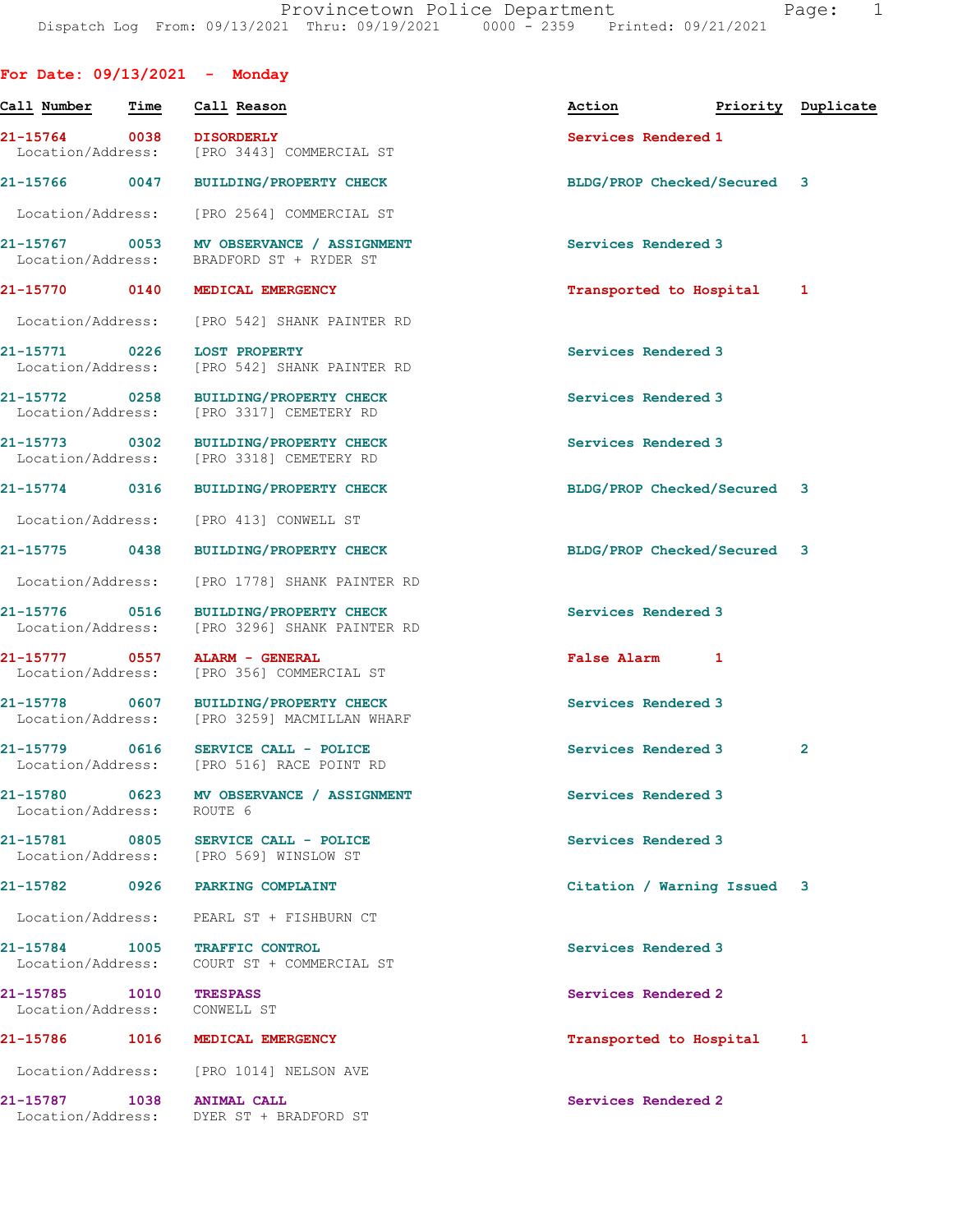| For Date: $09/13/2021$ - Monday    |      |                                                                                       |                             |                    |
|------------------------------------|------|---------------------------------------------------------------------------------------|-----------------------------|--------------------|
| Call Number                        | Time | Call Reason                                                                           | Action                      | Priority Duplicate |
| 21-15764 0038<br>Location/Address: |      | <b>DISORDERLY</b><br>[PRO 3443] COMMERCIAL ST                                         | Services Rendered 1         |                    |
|                                    |      | 21-15766 0047 BUILDING/PROPERTY CHECK                                                 | BLDG/PROP Checked/Secured 3 |                    |
| Location/Address:                  |      | [PRO 2564] COMMERCIAL ST                                                              |                             |                    |
| Location/Address:                  |      | 21-15767 0053 MV OBSERVANCE / ASSIGNMENT<br>BRADFORD ST + RYDER ST                    | Services Rendered 3         |                    |
| 21-15770 0140                      |      | MEDICAL EMERGENCY                                                                     | Transported to Hospital 1   |                    |
|                                    |      | Location/Address: [PRO 542] SHANK PAINTER RD                                          |                             |                    |
| 21-15771 0226                      |      | <b>LOST PROPERTY</b><br>Location/Address: [PRO 542] SHANK PAINTER RD                  | Services Rendered 3         |                    |
| 21-15772 0258                      |      | <b>BUILDING/PROPERTY CHECK</b><br>Location/Address: [PRO 3317] CEMETERY RD            | Services Rendered 3         |                    |
| 21-15773 0302<br>Location/Address: |      | <b>BUILDING/PROPERTY CHECK</b><br>[PRO 3318] CEMETERY RD                              | Services Rendered 3         |                    |
|                                    |      | 21-15774 0316 BUILDING/PROPERTY CHECK                                                 | BLDG/PROP Checked/Secured 3 |                    |
| Location/Address:                  |      | [PRO 413] CONWELL ST                                                                  |                             |                    |
| 21-15775 0438                      |      | <b>BUILDING/PROPERTY CHECK</b>                                                        | BLDG/PROP Checked/Secured 3 |                    |
| Location/Address:                  |      | [PRO 1778] SHANK PAINTER RD                                                           |                             |                    |
| 21-15776 0516                      |      | BUILDING/PROPERTY CHECK<br>Location/Address: [PRO 3296] SHANK PAINTER RD              | Services Rendered 3         |                    |
| 21-15777 0557                      |      | ALARM - GENERAL<br>Location/Address: [PRO 356] COMMERCIAL ST                          | False Alarm 1               |                    |
|                                    |      | 21-15778 0607 BUILDING/PROPERTY CHECK<br>Location/Address: [PRO 3259] MACMILLAN WHARF | Services Rendered 3         |                    |
| 21-15779 0616<br>Location/Address: |      | SERVICE CALL - POLICE<br>[PRO 516] RACE POINT RD                                      | Services Rendered 3         | $\overline{2}$     |
| 21-15780<br>Location/Address:      | 0623 | MV OBSERVANCE / ASSIGNMENT<br>ROUTE 6                                                 | Services Rendered 3         |                    |
|                                    |      | 21-15781 0805 SERVICE CALL - POLICE<br>Location/Address: [PRO 569] WINSLOW ST         | Services Rendered 3         |                    |
|                                    |      | 21-15782 0926 PARKING COMPLAINT                                                       | Citation / Warning Issued 3 |                    |
| Location/Address:                  |      | PEARL ST + FISHBURN CT                                                                |                             |                    |
| 21-15784 1005<br>Location/Address: |      | <b>TRAFFIC CONTROL</b><br>COURT ST + COMMERCIAL ST                                    | Services Rendered 3         |                    |
| 21-15785 1010<br>Location/Address: |      | <b>TRESPASS</b><br>CONWELL ST                                                         | Services Rendered 2         |                    |
|                                    |      | 21-15786 1016 MEDICAL EMERGENCY                                                       | Transported to Hospital     | 1                  |
|                                    |      | Location/Address: [PRO 1014] NELSON AVE                                               |                             |                    |
| 21-15787 1038                      |      | <b>ANIMAL CALL</b><br>Location/Address: DYER ST + BRADFORD ST                         | Services Rendered 2         |                    |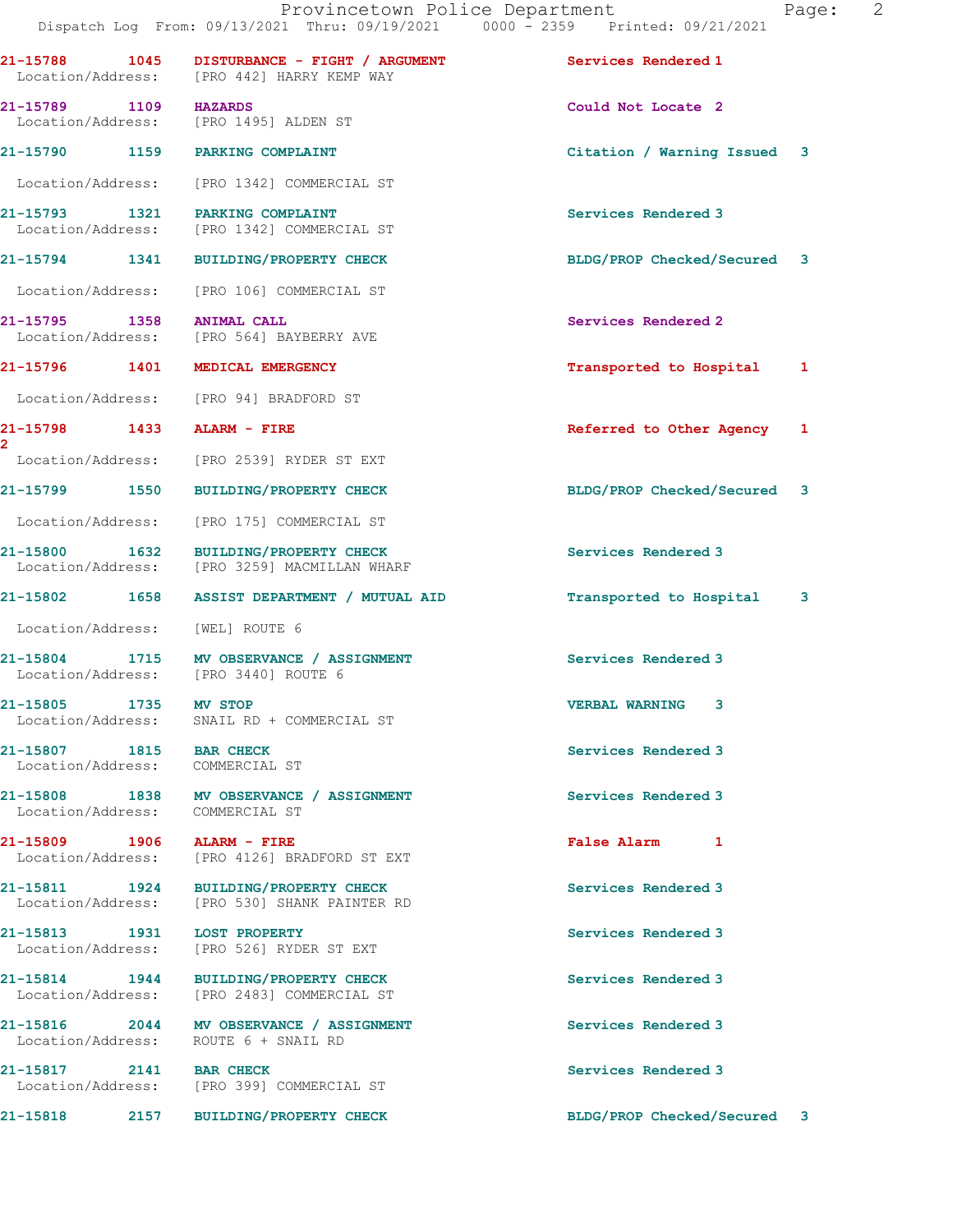|                                                            |                                                                                            | Dispatch Log From: 09/13/2021 Thru: 09/19/2021 0000 - 2359 Printed: 09/21/2021 |   |
|------------------------------------------------------------|--------------------------------------------------------------------------------------------|--------------------------------------------------------------------------------|---|
|                                                            | 21-15788 1045 DISTURBANCE - FIGHT / ARGUMENT<br>Location/Address: [PRO 442] HARRY KEMP WAY | Services Rendered 1                                                            |   |
| 21-15789 1109 HAZARDS                                      | Location/Address: [PRO 1495] ALDEN ST                                                      | Could Not Locate 2                                                             |   |
|                                                            | 21-15790 1159 PARKING COMPLAINT                                                            | Citation / Warning Issued 3                                                    |   |
|                                                            | Location/Address: [PRO 1342] COMMERCIAL ST                                                 |                                                                                |   |
|                                                            | 21-15793 1321 PARKING COMPLAINT<br>Location/Address: [PRO 1342] COMMERCIAL ST              | Services Rendered 3                                                            |   |
|                                                            | 21-15794 1341 BUILDING/PROPERTY CHECK                                                      | BLDG/PROP Checked/Secured 3                                                    |   |
|                                                            | Location/Address: [PRO 106] COMMERCIAL ST                                                  |                                                                                |   |
| 21-15795 1358 ANIMAL CALL                                  | Location/Address: [PRO 564] BAYBERRY AVE                                                   | Services Rendered 2                                                            |   |
|                                                            | 21-15796 1401 MEDICAL EMERGENCY                                                            | Transported to Hospital                                                        | 1 |
|                                                            | Location/Address: [PRO 94] BRADFORD ST                                                     |                                                                                |   |
| 21-15798 1433 ALARM - FIRE<br>$\overline{2}$               |                                                                                            | Referred to Other Agency                                                       | 1 |
|                                                            | Location/Address: [PRO 2539] RYDER ST EXT                                                  |                                                                                |   |
|                                                            | 21-15799 1550 BUILDING/PROPERTY CHECK                                                      | BLDG/PROP Checked/Secured                                                      | 3 |
| Location/Address:                                          | [PRO 175] COMMERCIAL ST                                                                    |                                                                                |   |
|                                                            | 21-15800 1632 BUILDING/PROPERTY CHECK<br>Location/Address: [PRO 3259] MACMILLAN WHARF      | Services Rendered 3                                                            |   |
| 21-15802 1658                                              | ASSIST DEPARTMENT / MUTUAL AID                                                             | Transported to Hospital                                                        | 3 |
| Location/Address: [WEL] ROUTE 6                            |                                                                                            |                                                                                |   |
|                                                            | 21-15804 1715 MV OBSERVANCE / ASSIGNMENT<br>Location/Address: [PRO 3440] ROUTE 6           | Services Rendered 3                                                            |   |
| 21-15805 1735<br>Location/Address:                         | <b>MV STOP</b><br>SNAIL RD + COMMERCIAL ST                                                 | <b>VERBAL WARNING 3</b>                                                        |   |
| 21-15807 1815 BAR CHECK<br>Location/Address: COMMERCIAL ST |                                                                                            | Services Rendered 3                                                            |   |
| Location/Address: COMMERCIAL ST                            | 21-15808 1838 MV OBSERVANCE / ASSIGNMENT                                                   | Services Rendered 3                                                            |   |
| 21-15809 1906 ALARM - FIRE                                 | Location/Address: [PRO 4126] BRADFORD ST EXT                                               | False Alarm 1                                                                  |   |
|                                                            | 21-15811 1924 BUILDING/PROPERTY CHECK<br>Location/Address: [PRO 530] SHANK PAINTER RD      | Services Rendered 3                                                            |   |
|                                                            | 21-15813 1931 LOST PROPERTY<br>Location/Address: [PRO 526] RYDER ST EXT                    | Services Rendered 3                                                            |   |
|                                                            | 21-15814 1944 BUILDING/PROPERTY CHECK<br>Location/Address: [PRO 2483] COMMERCIAL ST        | Services Rendered 3                                                            |   |
|                                                            | 21-15816 2044 MV OBSERVANCE / ASSIGNMENT<br>Location/Address: ROUTE 6 + SNAIL RD           | Services Rendered 3                                                            |   |
| 21-15817 2141 BAR CHECK                                    | Location/Address: [PRO 399] COMMERCIAL ST                                                  | Services Rendered 3                                                            |   |
|                                                            | 21-15818 2157 BUILDING/PROPERTY CHECK                                                      | BLDG/PROP Checked/Secured 3                                                    |   |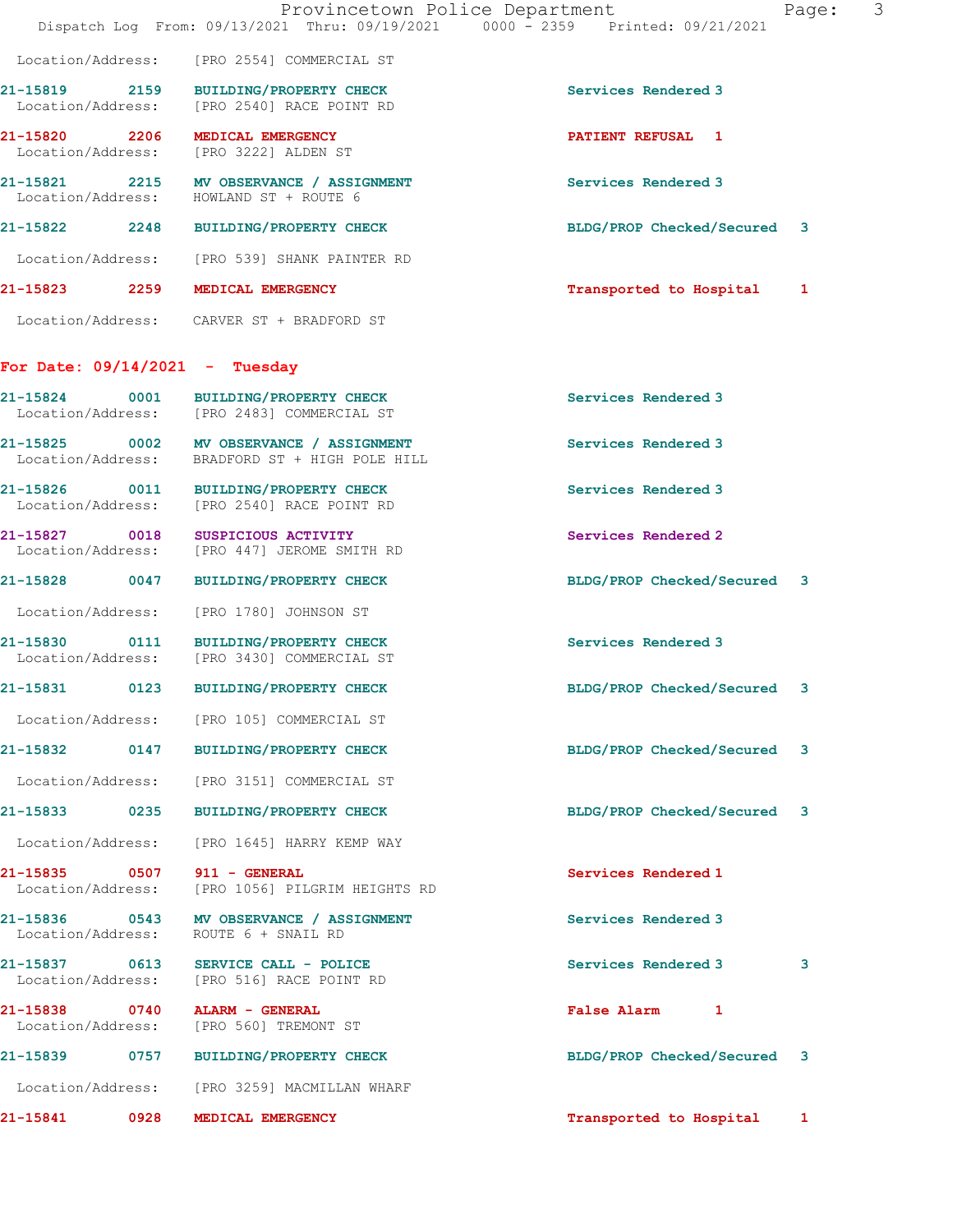|                                  |                                                                                            | Provincetown Police Department<br>Page:<br>Dispatch Log From: 09/13/2021 Thru: 09/19/2021 0000 - 2359 Printed: 09/21/2021 | 3 |
|----------------------------------|--------------------------------------------------------------------------------------------|---------------------------------------------------------------------------------------------------------------------------|---|
|                                  | Location/Address: [PRO 2554] COMMERCIAL ST                                                 |                                                                                                                           |   |
|                                  | 21-15819 2159 BUILDING/PROPERTY CHECK<br>Location/Address: [PRO 2540] RACE POINT RD        | Services Rendered 3                                                                                                       |   |
|                                  | 21-15820 2206 MEDICAL EMERGENCY<br>Location/Address: [PRO 3222] ALDEN ST                   | <b>PATIENT REFUSAL 1</b>                                                                                                  |   |
|                                  | 21-15821 2215 MV OBSERVANCE / ASSIGNMENT<br>Location/Address: HOWLAND ST + ROUTE 6         | Services Rendered 3                                                                                                       |   |
|                                  | 21-15822 2248 BUILDING/PROPERTY CHECK                                                      | BLDG/PROP Checked/Secured 3                                                                                               |   |
|                                  | Location/Address: [PRO 539] SHANK PAINTER RD                                               |                                                                                                                           |   |
|                                  | 21-15823 2259 MEDICAL EMERGENCY                                                            | Transported to Hospital 1                                                                                                 |   |
|                                  | Location/Address: CARVER ST + BRADFORD ST                                                  |                                                                                                                           |   |
| For Date: $09/14/2021$ - Tuesday |                                                                                            |                                                                                                                           |   |
|                                  | 21-15824 0001 BUILDING/PROPERTY CHECK<br>Location/Address: [PRO 2483] COMMERCIAL ST        | Services Rendered 3                                                                                                       |   |
|                                  | 21-15825 0002 MV OBSERVANCE / ASSIGNMENT<br>Location/Address: BRADFORD ST + HIGH POLE HILL | Services Rendered 3                                                                                                       |   |
|                                  | 21-15826 0011 BUILDING/PROPERTY CHECK<br>Location/Address: [PRO 2540] RACE POINT RD        | Services Rendered 3                                                                                                       |   |
|                                  | 21-15827 0018 SUSPICIOUS ACTIVITY<br>Location/Address: [PRO 447] JEROME SMITH RD           | Services Rendered 2                                                                                                       |   |
|                                  | 21-15828 0047 BUILDING/PROPERTY CHECK                                                      | BLDG/PROP Checked/Secured 3                                                                                               |   |
|                                  | Location/Address: [PRO 1780] JOHNSON ST                                                    |                                                                                                                           |   |
|                                  | 21-15830 0111 BUILDING/PROPERTY CHECK<br>Location/Address: [PRO 3430] COMMERCIAL ST        | Services Rendered 3                                                                                                       |   |
| 0123<br>21-15831                 | <b>BUILDING/PROPERTY CHECK</b>                                                             | BLDG/PROP Checked/Secured<br>3                                                                                            |   |
|                                  | Location/Address: [PRO 105] COMMERCIAL ST                                                  |                                                                                                                           |   |
|                                  | 21-15832 0147 BUILDING/PROPERTY CHECK                                                      | BLDG/PROP Checked/Secured 3                                                                                               |   |
|                                  | Location/Address: [PRO 3151] COMMERCIAL ST                                                 |                                                                                                                           |   |
| 21-15833 0235                    | <b>BUILDING/PROPERTY CHECK</b>                                                             | BLDG/PROP Checked/Secured<br>3                                                                                            |   |
| Location/Address:                | [PRO 1645] HARRY KEMP WAY                                                                  |                                                                                                                           |   |
| Location/Address:                | [PRO 1056] PILGRIM HEIGHTS RD                                                              | Services Rendered 1                                                                                                       |   |
| Location/Address:                | 21-15836 0543 MV OBSERVANCE / ASSIGNMENT<br>ROUTE 6 + SNAIL RD                             | Services Rendered 3                                                                                                       |   |
| Location/Address:                | 21-15837 0613 SERVICE CALL - POLICE<br>[PRO 516] RACE POINT RD                             | Services Rendered 3<br>3                                                                                                  |   |
| 21-15838 0740 ALARM - GENERAL    | Location/Address: [PRO 560] TREMONT ST                                                     | False Alarm 1                                                                                                             |   |
|                                  | 21-15839 0757 BUILDING/PROPERTY CHECK                                                      | BLDG/PROP Checked/Secured 3                                                                                               |   |
|                                  | Location/Address: [PRO 3259] MACMILLAN WHARF                                               |                                                                                                                           |   |
|                                  | 21-15841 0928 MEDICAL EMERGENCY                                                            | Transported to Hospital 1                                                                                                 |   |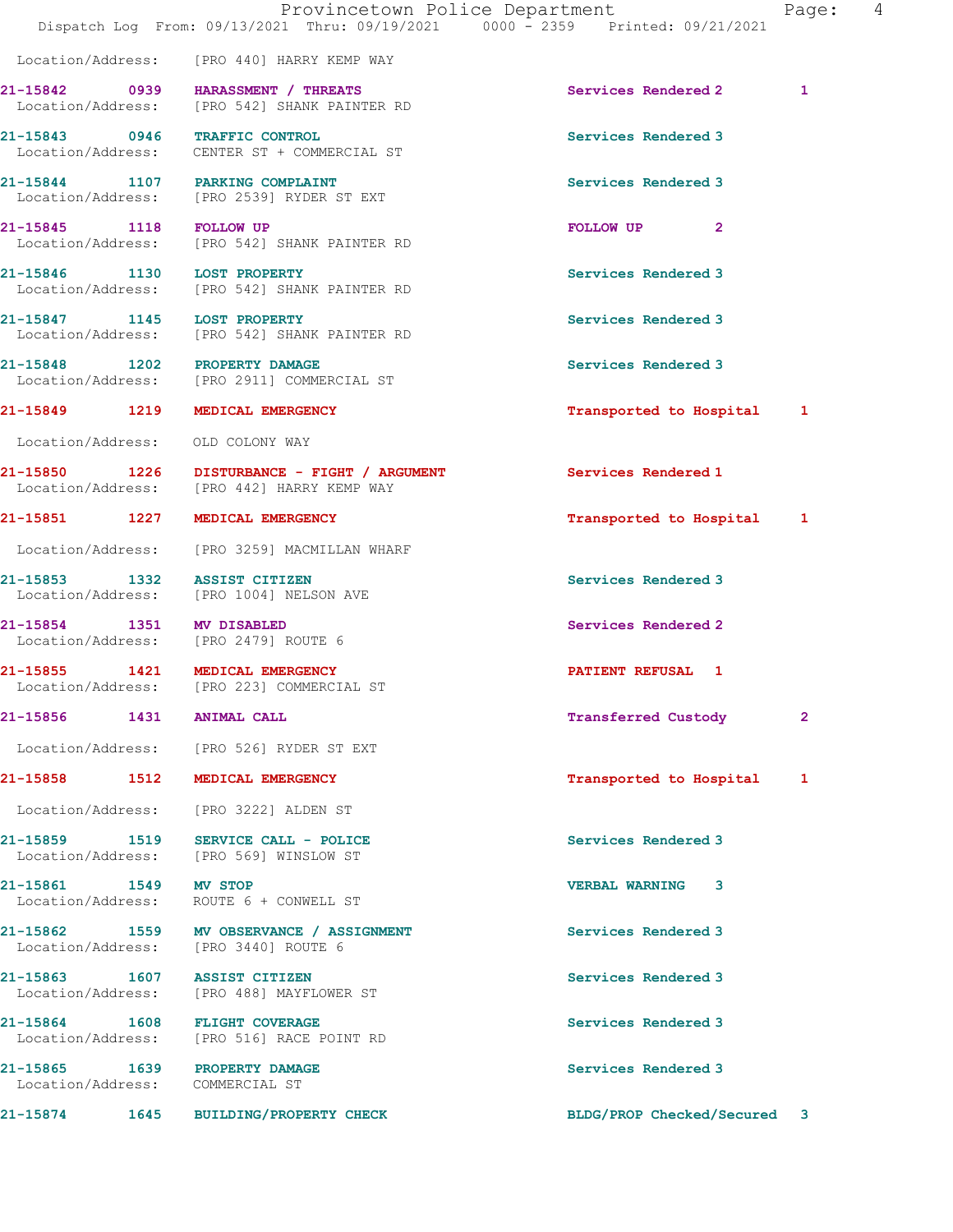|                                                                                    | Provincetown Police Department               | Dispatch Log From: 09/13/2021 Thru: 09/19/2021 0000 - 2359 Printed: 09/21/2021 | 4<br>Page: |  |
|------------------------------------------------------------------------------------|----------------------------------------------|--------------------------------------------------------------------------------|------------|--|
| Location/Address: [PRO 440] HARRY KEMP WAY                                         |                                              |                                                                                |            |  |
| 21-15842 0939 HARASSMENT / THREATS<br>Location/Address: [PRO 542] SHANK PAINTER RD |                                              | Services Rendered 2                                                            | 1          |  |
| 21-15843 0946 TRAFFIC CONTROL<br>Location/Address: CENTER ST + COMMERCIAL ST       |                                              | Services Rendered 3                                                            |            |  |
| 21-15844 1107 PARKING COMPLAINT<br>Location/Address: [PRO 2539] RYDER ST EXT       |                                              | Services Rendered 3                                                            |            |  |
| 21-15845 1118 FOLLOW UP<br>Location/Address: [PRO 542] SHANK PAINTER RD            |                                              | FOLLOW UP<br>$\mathbf{2}$                                                      |            |  |
| 21-15846 1130 LOST PROPERTY<br>Location/Address: [PRO 542] SHANK PAINTER RD        |                                              | Services Rendered 3                                                            |            |  |
| 21-15847 1145 LOST PROPERTY<br>Location/Address: [PRO 542] SHANK PAINTER RD        |                                              | Services Rendered 3                                                            |            |  |
| 21-15848 1202 PROPERTY DAMAGE<br>Location/Address: [PRO 2911] COMMERCIAL ST        |                                              | Services Rendered 3                                                            |            |  |
| 21-15849 1219 MEDICAL EMERGENCY                                                    |                                              | Transported to Hospital 1                                                      |            |  |
| Location/Address: OLD COLONY WAY                                                   |                                              |                                                                                |            |  |
| Location/Address: [PRO 442] HARRY KEMP WAY                                         | 21-15850 1226 DISTURBANCE - FIGHT / ARGUMENT | Services Rendered 1                                                            |            |  |
| 21-15851 1227 MEDICAL EMERGENCY                                                    |                                              | Transported to Hospital 1                                                      |            |  |
| Location/Address: [PRO 3259] MACMILLAN WHARF                                       |                                              |                                                                                |            |  |
| 21-15853 1332 ASSIST CITIZEN<br>Location/Address: [PRO 1004] NELSON AVE            |                                              | Services Rendered 3                                                            |            |  |
| 21-15854 1351 MV DISABLED<br>Location/Address: [PRO 2479] ROUTE 6                  |                                              | Services Rendered 2                                                            |            |  |
| 21-15855 1421 MEDICAL EMERGENCY<br>Location/Address: [PRO 223] COMMERCIAL ST       |                                              | PATIENT REFUSAL 1                                                              |            |  |
| 21-15856 1431 ANIMAL CALL                                                          |                                              | Transferred Custody                                                            | 2          |  |
| Location/Address: [PRO 526] RYDER ST EXT                                           |                                              |                                                                                |            |  |
| 21-15858 1512 MEDICAL EMERGENCY                                                    |                                              | Transported to Hospital                                                        | 1          |  |
| Location/Address: [PRO 3222] ALDEN ST                                              |                                              |                                                                                |            |  |
| 21-15859 1519 SERVICE CALL - POLICE<br>Location/Address: [PRO 569] WINSLOW ST      |                                              | Services Rendered 3                                                            |            |  |
| 21-15861 1549 MV STOP<br>Location/Address: ROUTE 6 + CONWELL ST                    |                                              | <b>VERBAL WARNING 3</b>                                                        |            |  |
| 21-15862 1559 MV OBSERVANCE / ASSIGNMENT<br>Location/Address: [PRO 3440] ROUTE 6   |                                              | Services Rendered 3                                                            |            |  |
| 21-15863 1607 ASSIST CITIZEN<br>Location/Address: [PRO 488] MAYFLOWER ST           |                                              | Services Rendered 3                                                            |            |  |
| 21-15864 1608 FLIGHT COVERAGE<br>Location/Address: [PRO 516] RACE POINT RD         |                                              | Services Rendered 3                                                            |            |  |
| 21-15865 1639 PROPERTY DAMAGE<br>Location/Address: COMMERCIAL ST                   |                                              | Services Rendered 3                                                            |            |  |
| 21-15874 1645 BUILDING/PROPERTY CHECK                                              |                                              | BLDG/PROP Checked/Secured 3                                                    |            |  |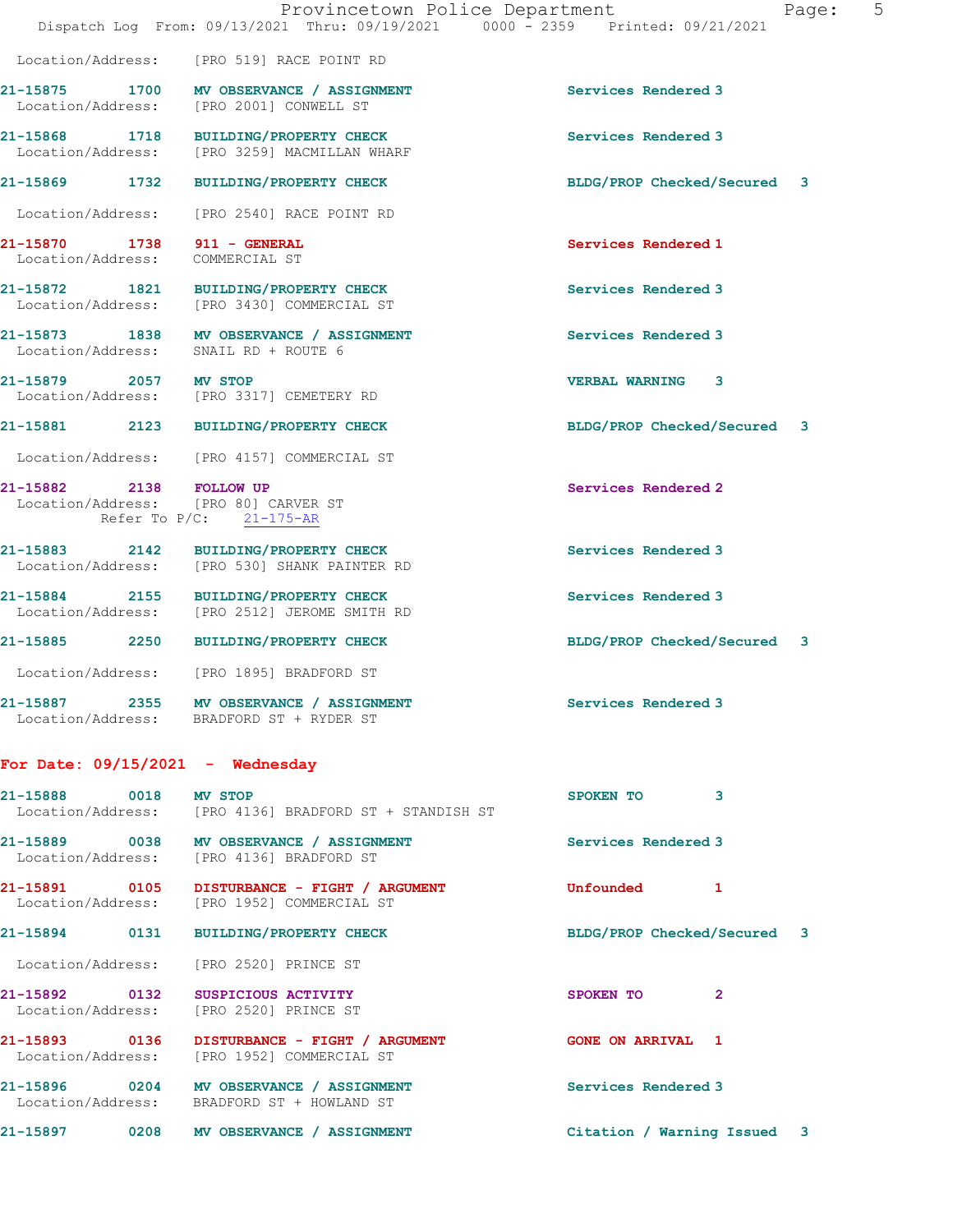Location/Address: [PRO 519] RACE POINT RD

21-15875 1700 MV OBSERVANCE / ASSIGNMENT Services Rendered 3 Location/Address: [PRO 2001] CONWELL ST

21-15868 1718 BUILDING/PROPERTY CHECK Services Rendered 3<br>
Location/Address: [PRO 3259] MACMILLAN WHARF

21-15869 1732 BUILDING/PROPERTY CHECK BLDG/PROP Checked/Secured 3

Location/Address: [PRO 2540] RACE POINT RD

Location/Address: COMMERCIAL ST

21-15872 1821 BUILDING/PROPERTY CHECK Services Rendered 3 Location/Address: [PRO 3430] COMMERCIAL ST

21-15873 1838 MV OBSERVANCE / ASSIGNMENT Services Rendered 3 Location/Address: SNAIL RD + ROUTE 6

21-15879 2057 MV STOP VERBAL WARNING 3 Location/Address: [PRO 3317] CEMETERY RD

Location/Address: [PRO 4157] COMMERCIAL ST

21-15882 2138 FOLLOW UP Services Rendered 2 Location/Address: [PRO 80] CARVER ST Refer To P/C: 21-175-AR

21-15883 2142 BUILDING/PROPERTY CHECK Services Rendered 3 Location/Address: [PRO 530] SHANK PAINTER RD

21-15884 2155 BUILDING/PROPERTY CHECK Services Rendered 3 Location/Address: [PRO 2512] JEROME SMITH RD

21-15885 2250 BUILDING/PROPERTY CHECK BLDG/PROP Checked/Secured 3

Location/Address: [PRO 1895] BRADFORD ST

21-15887 2355 MV OBSERVANCE / ASSIGNMENT Services Rendered 3 Location/Address: BRADFORD ST + RYDER ST

## For Date: 09/15/2021 - Wednesday

21-15888 0018 MV STOP 3 Location/Address: [PRO 4136] BRADFORD ST + STANDISH ST 21-15889 0038 MV OBSERVANCE / ASSIGNMENT Services Rendered 3 Location/Address: [PRO 4136] BRADFORD ST 21-15891 0105 DISTURBANCE - FIGHT / ARGUMENT Unfounded 1 Location/Address: [PRO 1952] COMMERCIAL ST 21-15894 0131 BUILDING/PROPERTY CHECK BLDG/PROP Checked/Secured 3 Location/Address: [PRO 2520] PRINCE ST 21-15892 0132 SUSPICIOUS ACTIVITY CHARGES SPOKEN TO 2 Location/Address: [PRO 2520] PRINCE ST 21-15893 0136 DISTURBANCE - FIGHT / ARGUMENT GONE ON ARRIVAL 1 Location/Address: [PRO 1952] COMMERCIAL ST 21-15896 0204 MV OBSERVANCE / ASSIGNMENT Services Rendered 3 Location/Address: BRADFORD ST + HOWLAND ST 21-15897 0208 MV OBSERVANCE / ASSIGNMENT Citation / Warning Issued 3

[PRO 3259] MACMILLAN WHARF

21-15870 1738 911 - GENERAL **Services Rendered 1** 

21-15881 2123 BUILDING/PROPERTY CHECK BLDG/PROP Checked/Secured 3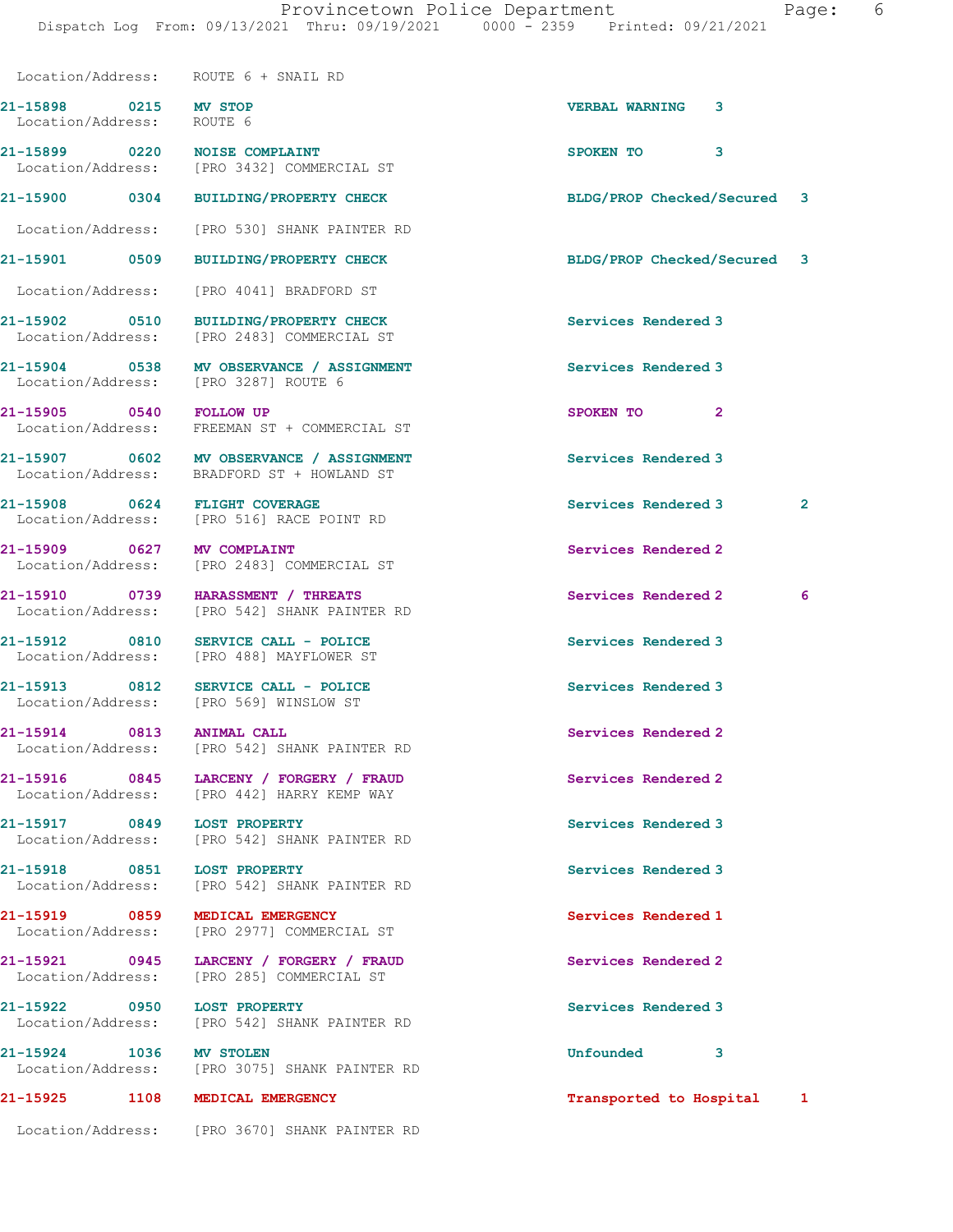|                                                    | Location/Address: ROUTE 6 + SNAIL RD                                                   |                             |                |
|----------------------------------------------------|----------------------------------------------------------------------------------------|-----------------------------|----------------|
| 21-15898 0215 MV STOP<br>Location/Address: ROUTE 6 |                                                                                        | VERBAL WARNING 3            |                |
|                                                    | 21-15899 0220 NOISE COMPLAINT<br>Location/Address: [PRO 3432] COMMERCIAL ST            | 3<br>SPOKEN TO              |                |
| 21-15900 0304                                      | <b>BUILDING/PROPERTY CHECK</b>                                                         | BLDG/PROP Checked/Secured 3 |                |
|                                                    | Location/Address: [PRO 530] SHANK PAINTER RD                                           |                             |                |
| 21-15901 0509                                      | <b>BUILDING/PROPERTY CHECK</b>                                                         | BLDG/PROP Checked/Secured 3 |                |
| Location/Address:                                  | [PRO 4041] BRADFORD ST                                                                 |                             |                |
| 21-15902 0510                                      | BUILDING/PROPERTY CHECK<br>Location/Address: [PRO 2483] COMMERCIAL ST                  | Services Rendered 3         |                |
|                                                    | 21-15904 0538 MV OBSERVANCE / ASSIGNMENT<br>Location/Address: [PRO 3287] ROUTE 6       | Services Rendered 3         |                |
| 21-15905 0540 FOLLOW UP                            | Location/Address: FREEMAN ST + COMMERCIAL ST                                           | $\mathbf{2}$<br>SPOKEN TO   |                |
|                                                    | 21-15907 0602 MV OBSERVANCE / ASSIGNMENT<br>Location/Address: BRADFORD ST + HOWLAND ST | Services Rendered 3         |                |
|                                                    | 21-15908 0624 FLIGHT COVERAGE<br>Location/Address: [PRO 516] RACE POINT RD             | Services Rendered 3         | $\overline{2}$ |
| 21-15909 0627<br>Location/Address:                 | MV COMPLAINT<br>[PRO 2483] COMMERCIAL ST                                               | Services Rendered 2         |                |
|                                                    | 21-15910 0739 HARASSMENT / THREATS<br>Location/Address: [PRO 542] SHANK PAINTER RD     | Services Rendered 2         | 6              |
| 21-15912 0810                                      | SERVICE CALL - POLICE<br>Location/Address: [PRO 488] MAYFLOWER ST                      | Services Rendered 3         |                |
| 21-15913 0812                                      | SERVICE CALL - POLICE<br>Location/Address: [PRO 569] WINSLOW ST                        | Services Rendered 3         |                |
| 21-15914 0813                                      | <b>ANIMAL CALL</b><br>Location/Address: [PRO 542] SHANK PAINTER RD                     | Services Rendered 2         |                |
|                                                    | 21-15916 0845 LARCENY / FORGERY / FRAUD<br>Location/Address: [PRO 442] HARRY KEMP WAY  | Services Rendered 2         |                |
|                                                    | 21-15917 0849 LOST PROPERTY<br>Location/Address: [PRO 542] SHANK PAINTER RD            | Services Rendered 3         |                |
|                                                    | 21-15918 0851 LOST PROPERTY<br>Location/Address: [PRO 542] SHANK PAINTER RD            | Services Rendered 3         |                |
| 21-15919 0859                                      | MEDICAL EMERGENCY<br>Location/Address: [PRO 2977] COMMERCIAL ST                        | Services Rendered 1         |                |
|                                                    | 21-15921 0945 LARCENY / FORGERY / FRAUD<br>Location/Address: [PRO 285] COMMERCIAL ST   | Services Rendered 2         |                |
|                                                    | 21-15922 0950 LOST PROPERTY<br>Location/Address: [PRO 542] SHANK PAINTER RD            | Services Rendered 3         |                |
| 21-15924 1036 MV STOLEN                            | Location/Address: [PRO 3075] SHANK PAINTER RD                                          | <b>Unfounded</b><br>3       |                |
|                                                    | 21-15925 1108 MEDICAL EMERGENCY                                                        | Transported to Hospital     | $\mathbf{1}$   |
|                                                    | Location/Address: [PRO 3670] SHANK PAINTER RD                                          |                             |                |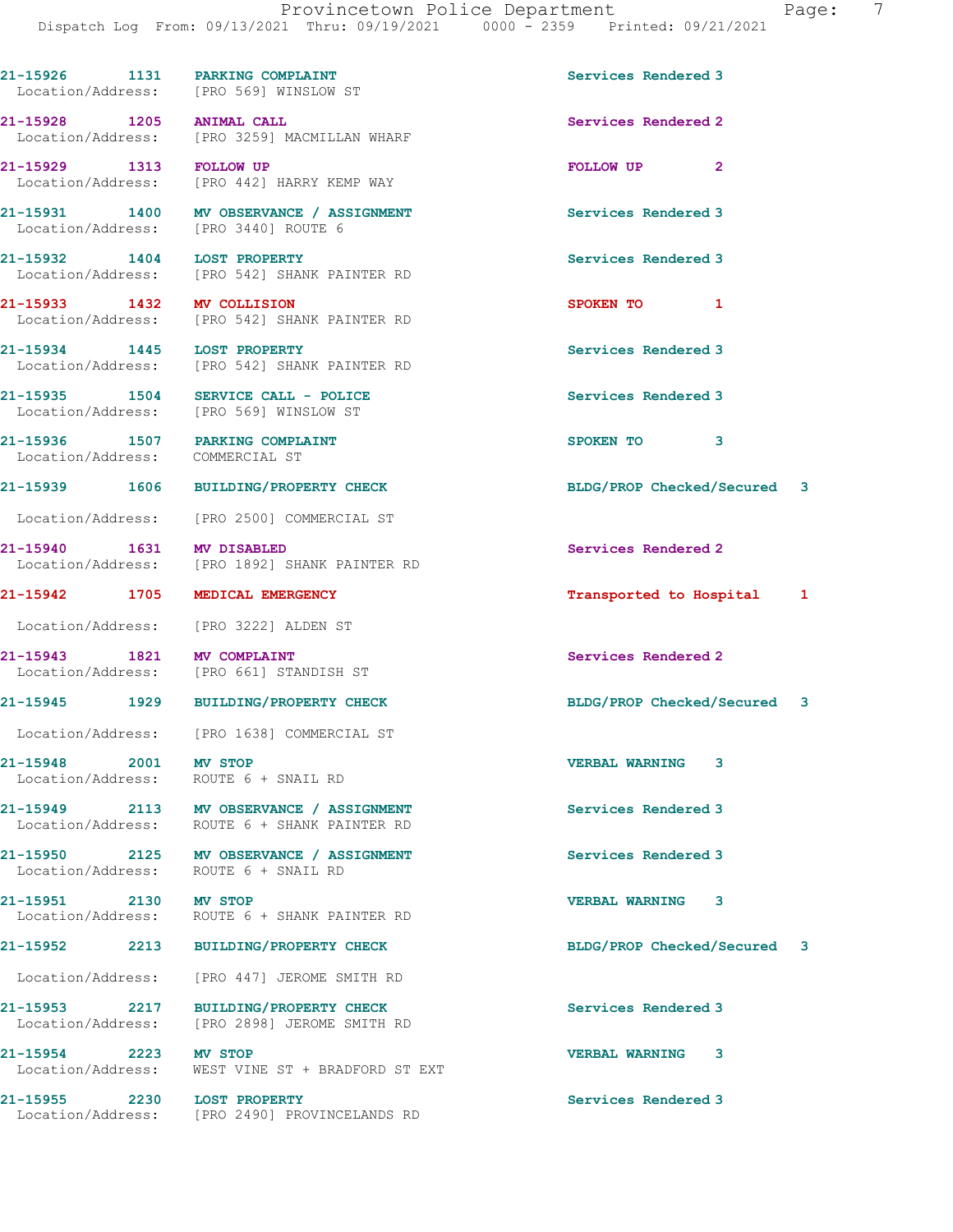|                                 | 21-15926 1131 PARKING COMPLAINT<br>Location/Address: [PRO 569] WINSLOW ST                | Services Rendered 3         |              |   |
|---------------------------------|------------------------------------------------------------------------------------------|-----------------------------|--------------|---|
| 21-15928 1205 ANIMAL CALL       | Location/Address: [PRO 3259] MACMILLAN WHARF                                             | Services Rendered 2         |              |   |
| 21-15929 1313 FOLLOW UP         | Location/Address: [PRO 442] HARRY KEMP WAY                                               | FOLLOW UP                   | $\mathbf{2}$ |   |
|                                 | 21-15931 1400 MV OBSERVANCE / ASSIGNMENT<br>Location/Address: [PRO 3440] ROUTE 6         | Services Rendered 3         |              |   |
| 21-15932 1404 LOST PROPERTY     | Location/Address: [PRO 542] SHANK PAINTER RD                                             | Services Rendered 3         |              |   |
| 21-15933 1432 MV COLLISION      | Location/Address: [PRO 542] SHANK PAINTER RD                                             | SPOKEN TO 1                 |              |   |
| 21-15934 1445 LOST PROPERTY     | Location/Address: [PRO 542] SHANK PAINTER RD                                             | Services Rendered 3         |              |   |
|                                 | 21-15935 1504 SERVICE CALL - POLICE<br>Location/Address: [PRO 569] WINSLOW ST            | Services Rendered 3         |              |   |
| Location/Address: COMMERCIAL ST | 21-15936 1507 PARKING COMPLAINT                                                          | SPOKEN TO 3                 |              |   |
|                                 | 21-15939 1606 BUILDING/PROPERTY CHECK                                                    | BLDG/PROP Checked/Secured 3 |              |   |
|                                 | Location/Address: [PRO 2500] COMMERCIAL ST                                               |                             |              |   |
| 21-15940 1631 MV DISABLED       | Location/Address: [PRO 1892] SHANK PAINTER RD                                            | Services Rendered 2         |              |   |
|                                 | 21-15942 1705 MEDICAL EMERGENCY                                                          | Transported to Hospital 1   |              |   |
|                                 | Location/Address: [PRO 3222] ALDEN ST                                                    |                             |              |   |
| 21-15943 1821 MV COMPLAINT      | Location/Address: [PRO 661] STANDISH ST                                                  | Services Rendered 2         |              |   |
|                                 | 21-15945 1929 BUILDING/PROPERTY CHECK                                                    | BLDG/PROP Checked/Secured 3 |              |   |
|                                 | Location/Address: [PRO 1638] COMMERCIAL ST                                               |                             |              |   |
| 21-15948 2001 MV STOP           | Location/Address: ROUTE 6 + SNAIL RD                                                     | <b>VERBAL WARNING</b>       | 3            |   |
|                                 | 21-15949 2113 MV OBSERVANCE / ASSIGNMENT<br>Location/Address: ROUTE 6 + SHANK PAINTER RD | Services Rendered 3         |              |   |
|                                 | 21-15950 2125 MV OBSERVANCE / ASSIGNMENT<br>Location/Address: ROUTE 6 + SNAIL RD         | Services Rendered 3         |              |   |
| 21-15951 2130 MV STOP           | Location/Address: ROUTE 6 + SHANK PAINTER RD                                             | <b>VERBAL WARNING 3</b>     |              |   |
|                                 | 21-15952 2213 BUILDING/PROPERTY CHECK                                                    | BLDG/PROP Checked/Secured   |              | 3 |
|                                 | Location/Address: [PRO 447] JEROME SMITH RD                                              |                             |              |   |
|                                 | 21-15953 2217 BUILDING/PROPERTY CHECK<br>Location/Address: [PRO 2898] JEROME SMITH RD    | Services Rendered 3         |              |   |
| 21-15954 2223 MV STOP           | Location/Address: WEST VINE ST + BRADFORD ST EXT                                         | <b>VERBAL WARNING</b>       | 3            |   |
| 21-15955 2230 LOST PROPERTY     | Location/Address: [PRO 2490] PROVINCELANDS RD                                            | Services Rendered 3         |              |   |
|                                 |                                                                                          |                             |              |   |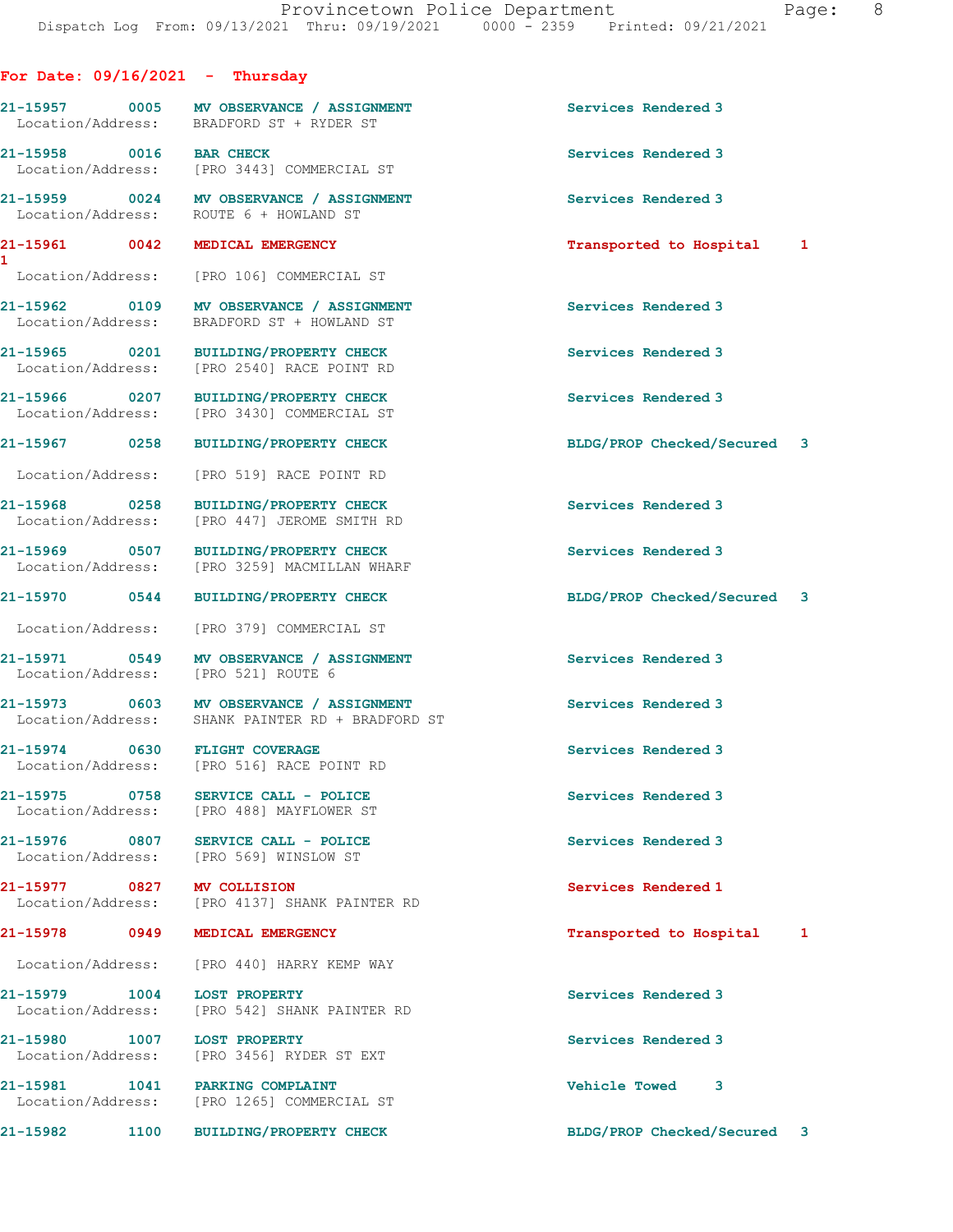|  |  |  | For Date: 09/16/2021 |  | Thursday |  |
|--|--|--|----------------------|--|----------|--|
|--|--|--|----------------------|--|----------|--|

21-15957 0005 MV OBSERVANCE / ASSIGNMENT Services Rendered 3 BRADFORD ST + RYDER ST

21-15958 0016 BAR CHECK Services Rendered 3 Location/Address: [PRO 3443] COMMERCIAL ST

Location/Address: ROUTE 6 + HOWLAND ST

1

Location/Address: [PRO 106] COMMERCIAL ST

Location/Address: BRADFORD ST + HOWLAND ST

Location/Address: [PRO 2540] RACE POINT RD

Location/Address: [PRO 3430] COMMERCIAL ST

Location/Address: [PRO 519] RACE POINT RD

Location/Address: [PRO 379] COMMERCIAL ST

Location/Address:

21-15968 0258 BUILDING/PROPERTY CHECK Services Rendered 3 [PRO 447] JEROME SMITH RD 21-15969 0507 BUILDING/PROPERTY CHECK Services Rendered 3 Location/Address: [PRO 3259] MACMILLAN WHARF

21-15971 0549 MV OBSERVANCE / ASSIGNMENT Services Rendered 3<br>
Location/Address: [PRO 521] ROUTE 6

21-15973 0603 MV OBSERVANCE / ASSIGNMENT Services Rendered 3 Location/Address: SHANK PAINTER RD + BRADFORD ST

21-15974 0630 FLIGHT COVERAGE Services Rendered 3 Location/Address: [PRO 516] RACE POINT RD

21-15975 0758 SERVICE CALL - POLICE Services Rendered 3 Location/Address: [PRO 488] MAYFLOWER ST

21-15976 0807 SERVICE CALL - POLICE 3 Services Rendered 3 Location/Address: [PRO 569] WINSLOW ST

21-15977 0827 MV COLLISION Services Rendered 1 Location/Address: [PRO 4137] SHANK PAINTER RD

Location/Address: [PRO 440] HARRY KEMP WAY

21-15979 1004 LOST PROPERTY Services Rendered 3 Location/Address: [PRO 542] SHANK PAINTER RD

21-15980 1007 LOST PROPERTY Services Rendered 3 Location/Address: [PRO 3456] RYDER ST EXT

21-15981 1041 PARKING COMPLAINT Vehicle Towed 3 Location/Address: [PRO 1265] COMMERCIAL ST

21-15959 0024 MV OBSERVANCE / ASSIGNMENT Services Rendered 3

21-15961 0042 MEDICAL EMERGENCY Transported to Hospital 1

21-15962 0109 MV OBSERVANCE / ASSIGNMENT Services Rendered 3

21-15965 0201 BUILDING/PROPERTY CHECK Services Rendered 3

21-15966 0207 BUILDING/PROPERTY CHECK Services Rendered 3

21-15967 0258 BUILDING/PROPERTY CHECK BLDG/PROP Checked/Secured 3

21-15970 0544 BUILDING/PROPERTY CHECK BLDG/PROP Checked/Secured 3

21-15978 0949 MEDICAL EMERGENCY Transported to Hospital 1

21-15982 1100 BUILDING/PROPERTY CHECK BLDG/PROP Checked/Secured 3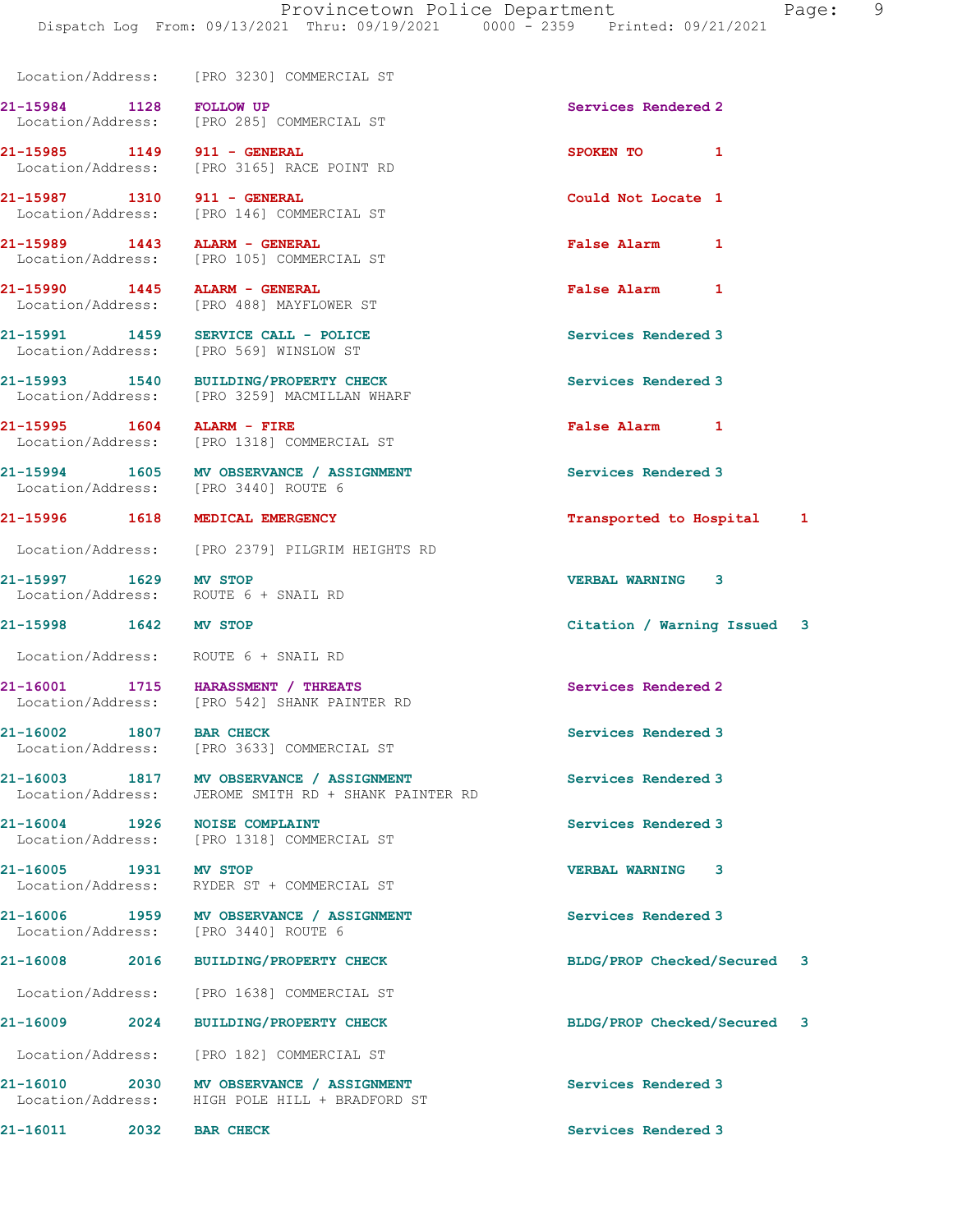Location/Address: [PRO 3230] COMMERCIAL ST

21-15984 1128 FOLLOW UP Services Rendered 2 Location/Address: [PRO 285] COMMERCIAL ST

21-15997 1629 MV STOP VERBAL WARNING 3 Location/Address: ROUTE 6 + SNAIL RD

21-15985 1149 911 - GENERAL SPOKEN TO 1 Location/Address: [PRO 3165] RACE POINT RD

21-15987 1310 911 - GENERAL Could Not Locate 1<br>
Location/Address: [PRO 146] COMMERCIAL ST [PRO 146] COMMERCIAL ST

21-15989 1443 ALARM - GENERAL False Alarm 1 Location/Address: [PRO 105] COMMERCIAL ST

21-15990 1445 ALARM - GENERAL False Alarm 1 Location/Address: [PRO 488] MAYFLOWER ST

21-15991 1459 SERVICE CALL - POLICE Services Rendered 3 Location/Address: [PRO 569] WINSLOW ST

21-15993 1540 BUILDING/PROPERTY CHECK Services Rendered 3 Location/Address: [PRO 3259] MACMILLAN WHARF

21-15995 1604 ALARM - FIRE False Alarm 1 Location/Address: [PRO 1318] COMMERCIAL ST

21-15994 1605 MV OBSERVANCE / ASSIGNMENT Services Rendered 3 Location/Address: [PRO 3440] ROUTE 6

Location/Address: [PRO 2379] PILGRIM HEIGHTS RD

Location/Address: ROUTE 6 + SNAIL RD

21-16001 1715 HARASSMENT / THREATS SERVICES Rendered 2<br>
Location/Address: [PRO 542] SHANK PAINTER RD [PRO 542] SHANK PAINTER RD

21-16002 1807 BAR CHECK Services Rendered 3 Location/Address: [PRO 3633] COMMERCIAL ST

21-16003 1817 MV OBSERVANCE / ASSIGNMENT Services Rendered 3 Location/Address: JEROME SMITH RD + SHANK PAINTER RD

21-16004 1926 NOISE COMPLAINT Services Rendered 3 Location/Address: [PRO 1318] COMMERCIAL ST

21-16005 1931 MV STOP VERBAL WARNING 3 Location/Address: RYDER ST + COMMERCIAL ST

21-16006 1959 MV OBSERVANCE / ASSIGNMENT Services Rendered 3 Location/Address: [PRO 3440] ROUTE 6

Location/Address: [PRO 1638] COMMERCIAL ST

21-16009 2024 BUILDING/PROPERTY CHECK BLDG/PROP Checked/Secured 3

Location/Address: [PRO 182] COMMERCIAL ST

21-16010 2030 MV OBSERVANCE / ASSIGNMENT Services Rendered 3 Location/Address: HIGH POLE HILL + BRADFORD ST

21-15996 1618 MEDICAL EMERGENCY Transported to Hospital 1

21-15998 1642 MV STOP Citation / Warning Issued 3

21-16008 2016 BUILDING/PROPERTY CHECK BLDG/PROP Checked/Secured 3

21-16011 2032 BAR CHECK Services Rendered 3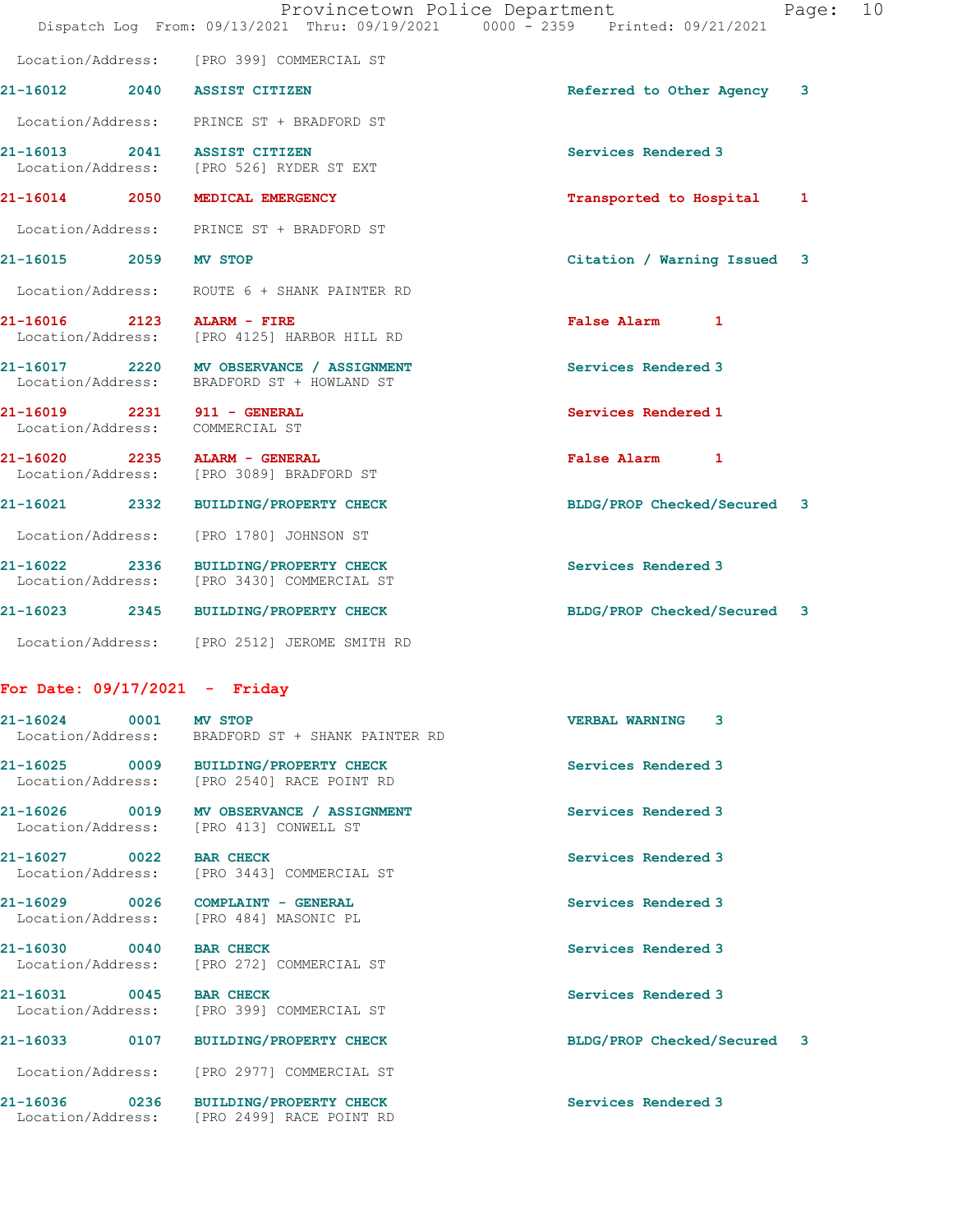|                                                                | Dispatch Log From: 09/13/2021 Thru: 09/19/2021 0000 - 2359 Printed: 09/21/2021         | Provincetown Police Department<br>10<br>Page: |
|----------------------------------------------------------------|----------------------------------------------------------------------------------------|-----------------------------------------------|
|                                                                | Location/Address: [PRO 399] COMMERCIAL ST                                              |                                               |
|                                                                | 21-16012 2040 ASSIST CITIZEN                                                           | Referred to Other Agency<br>3                 |
|                                                                | Location/Address: PRINCE ST + BRADFORD ST                                              |                                               |
|                                                                | 21-16013 2041 ASSIST CITIZEN<br>Location/Address: [PRO 526] RYDER ST EXT               | Services Rendered 3                           |
|                                                                | 21-16014 2050 MEDICAL EMERGENCY                                                        | Transported to Hospital 1                     |
|                                                                | Location/Address: PRINCE ST + BRADFORD ST                                              |                                               |
| 21-16015 2059 MV STOP                                          |                                                                                        | Citation / Warning Issued 3                   |
|                                                                | Location/Address: ROUTE 6 + SHANK PAINTER RD                                           |                                               |
|                                                                | 21-16016 2123 ALARM - FIRE<br>Location/Address: [PRO 4125] HARBOR HILL RD              | False Alarm 1                                 |
|                                                                | 21-16017 2220 MV OBSERVANCE / ASSIGNMENT<br>Location/Address: BRADFORD ST + HOWLAND ST | Services Rendered 3                           |
| 21-16019 2231 911 - GENERAL<br>Location/Address: COMMERCIAL ST |                                                                                        | Services Rendered 1                           |
|                                                                | 21-16020 2235 ALARM - GENERAL<br>Location/Address: [PRO 3089] BRADFORD ST              | False Alarm 1                                 |
|                                                                | 21-16021 2332 BUILDING/PROPERTY CHECK                                                  | BLDG/PROP Checked/Secured 3                   |
| Location/Address:                                              | [PRO 1780] JOHNSON ST                                                                  |                                               |
|                                                                | 21-16022 2336 BUILDING/PROPERTY CHECK<br>Location/Address: [PRO 3430] COMMERCIAL ST    | Services Rendered 3                           |
|                                                                | 21-16023 2345 BUILDING/PROPERTY CHECK                                                  | BLDG/PROP Checked/Secured 3                   |
|                                                                | Location/Address: [PRO 2512] JEROME SMITH RD                                           |                                               |
| For Date: $09/17/2021$ - Friday                                |                                                                                        |                                               |
| 21-16024                                                       | 0001<br><b>MV STOP</b><br>Location/Address: BRADFORD ST + SHANK PAINTER RD             | <b>VERBAL WARNING</b><br>3                    |

Location/Address: [PRO 2540] RACE POINT RD

Location/Address: [PRO 413] CONWELL ST

21-16025 0009 BUILDING/PROPERTY CHECK Services Rendered 3

21-16026 0019 MV OBSERVANCE / ASSIGNMENT Services Rendered 3

21-16027 0022 BAR CHECK Services Rendered 3 Location/Address: [PRO 3443] COMMERCIAL ST

21-16029 0026 COMPLAINT - GENERAL Services Rendered 3 Location/Address: [PRO 484] MASONIC PL

21-16030 0040 BAR CHECK Services Rendered 3 Location/Address: [PRO 272] COMMERCIAL ST

21-16031 0045 BAR CHECK Services Rendered 3 Location/Address: [PRO 399] COMMERCIAL ST

Location/Address: [PRO 2977] COMMERCIAL ST

21-16036 0236 BUILDING/PROPERTY CHECK Services Rendered 3 Location/Address: [PRO 2499] RACE POINT RD

21-16033 0107 BUILDING/PROPERTY CHECK BLDG/PROP Checked/Secured 3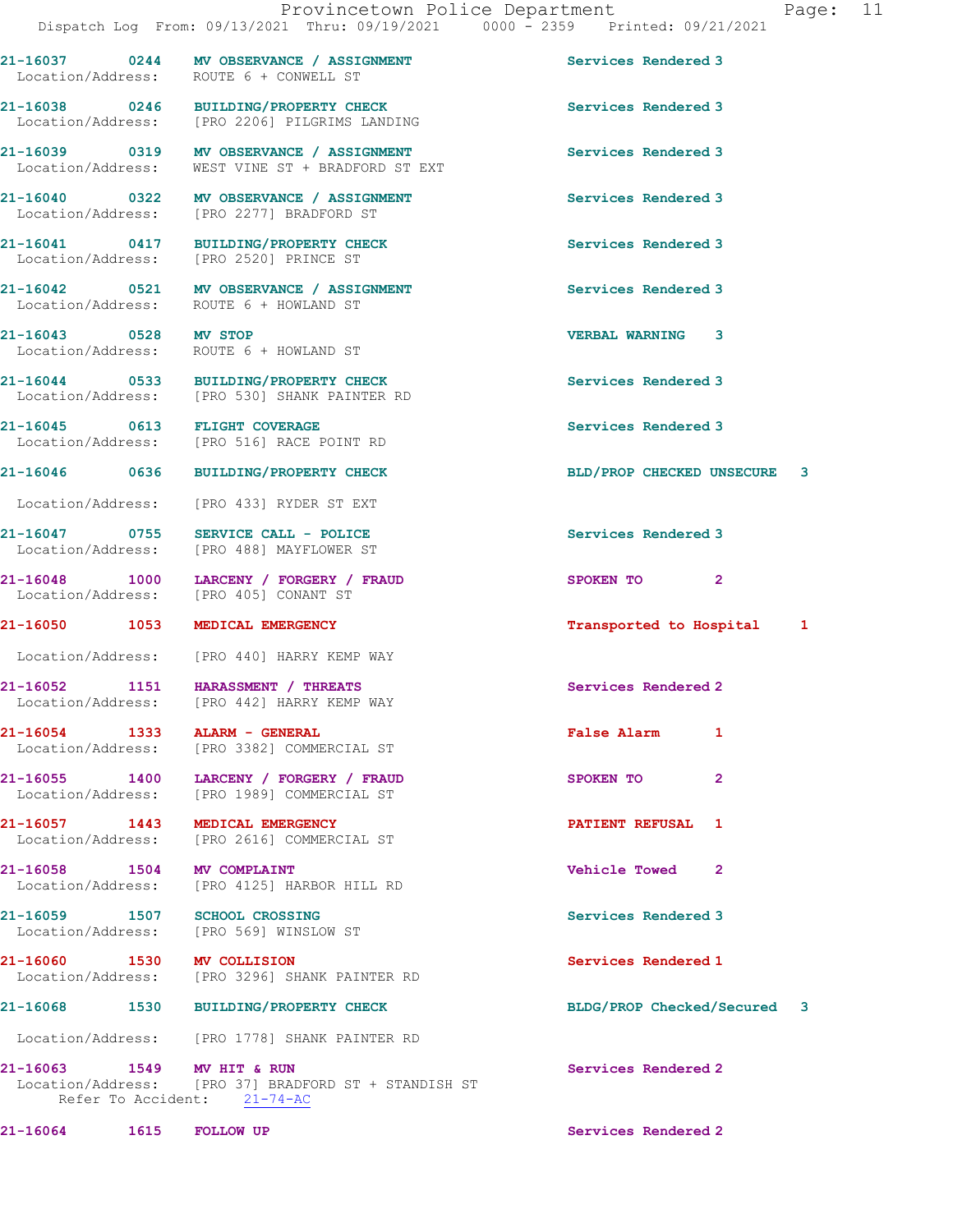Dispatch Log From: 09/13/2021 Thru: 09/19/2021 0000 - 2359 Printed: 09/21/2021 21-16037 0244 MV OBSERVANCE / ASSIGNMENT Services Rendered 3 Location/Address: ROUTE 6 + CONWELL ST 21-16038 0246 BUILDING/PROPERTY CHECK Services Rendered 3 Location/Address: [PRO 2206] PILGRIMS LANDING 21-16039 0319 MV OBSERVANCE / ASSIGNMENT Services Rendered 3 Location/Address: WEST VINE ST + BRADFORD ST EXT 21-16040 0322 MV OBSERVANCE / ASSIGNMENT Services Rendered 3<br>
Location/Address: [PRO 2277] BRADFORD ST [PRO 2277] BRADFORD ST 21-16041 0417 BUILDING/PROPERTY CHECK Services Rendered 3 Location/Address: [PRO 2520] PRINCE ST 21-16042 0521 MV OBSERVANCE / ASSIGNMENT Services Rendered 3 Location/Address: ROUTE 6 + HOWLAND ST 21-16043 0528 MV STOP VERBAL WARNING 3 Location/Address: ROUTE 6 + HOWLAND ST 21-16044 0533 BUILDING/PROPERTY CHECK Services Rendered 3 Location/Address: [PRO 530] SHANK PAINTER RD 21-16045 0613 FLIGHT COVERAGE Services Rendered 3 Location/Address: [PRO 516] RACE POINT RD 21-16046 0636 BUILDING/PROPERTY CHECK BLD/PROP CHECKED UNSECURE 3 Location/Address: [PRO 433] RYDER ST EXT 21-16047 0755 SERVICE CALL - POLICE Services Rendered 3 Location/Address: [PRO 488] MAYFLOWER ST 21-16048 1000 LARCENY / FORGERY / FRAUD SPOKEN TO 2 Location/Address: [PRO 405] CONANT ST 21-16050 1053 MEDICAL EMERGENCY **1053** 1053 MEDICAL EMERGENCY Location/Address: [PRO 440] HARRY KEMP WAY 21-16052 1151 HARASSMENT / THREATS Services Rendered 2 Location/Address: [PRO 442] HARRY KEMP WAY 21-16054 1333 ALARM - GENERAL False Alarm 1 Location/Address: [PRO 3382] COMMERCIAL ST 21-16055 1400 LARCENY / FORGERY / FRAUD SPOKEN TO 2 Location/Address: [PRO 1989] COMMERCIAL ST 21-16057 1443 MEDICAL EMERGENCY PATIENT REFUSAL 1 Location/Address: [PRO 2616] COMMERCIAL ST 21-16058 1504 MV COMPLAINT Vehicle Towed 2 Location/Address: [PRO 4125] HARBOR HILL RD 21-16059 1507 SCHOOL CROSSING Services Rendered 3 Location/Address: [PRO 569] WINSLOW ST 21-16060 1530 MV COLLISION 21-16060 Services Rendered 1 Location/Address: [PRO 3296] SHANK PAINTER RD 21-16068 1530 BUILDING/PROPERTY CHECK BLDG/PROP Checked/Secured 3 Location/Address: [PRO 1778] SHANK PAINTER RD 21-16063 1549 MV HIT & RUN Services Rendered 2<br>
Location/Address: [PRO 37] BRADFORD ST + STANDISH ST [PRO 37] BRADFORD ST + STANDISH ST Refer To Accident: 21-74-AC

21-16064 1615 FOLLOW UP Services Rendered 2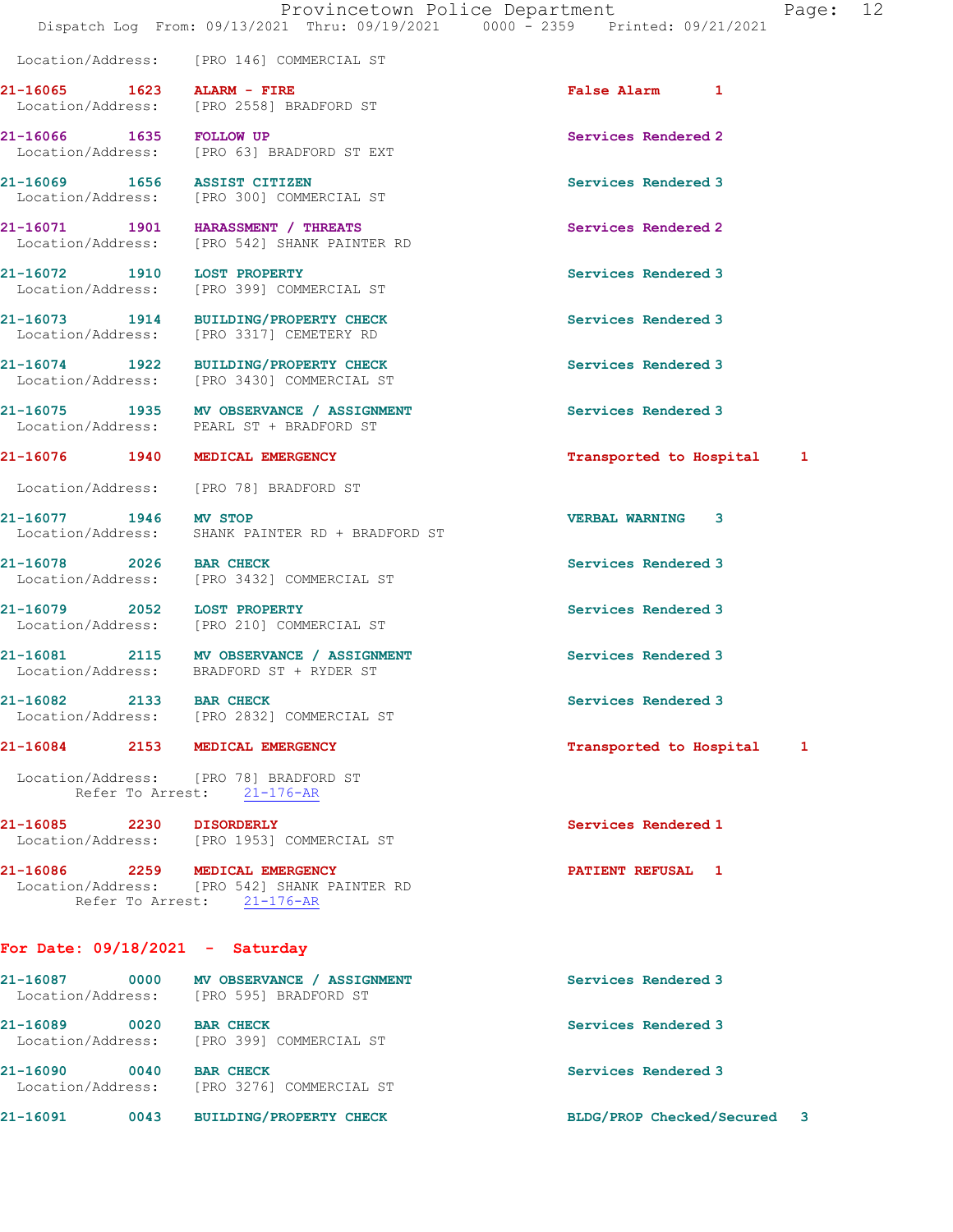Location/Address: [PRO 146] COMMERCIAL ST

21-16065 1623 ALARM - FIRE False Alarm 1 Location/Address: [PRO 2558] BRADFORD ST

21-16084 2153 MEDICAL EMERGENCY **1200 121-16084** 2153 MEDICAL EMERGENCY

Location/Address: [PRO 78] BRADFORD ST

21-16085 2230 DISORDERLY Services Rendered 1

21-16086 2259 MEDICAL EMERGENCY PATIENT REFUSAL 1 Location/Address: [PRO 542] SHANK PAINTER RD Refer To Arrest: 21-176-AR

## For Date: 09/18/2021 - Saturday

21-16087 0000 MV OBSERVANCE / ASSIGNMENT Services Rendered 3 Location/Address: [PRO 595] BRADFORD ST 21-16089 0020 BAR CHECK Services Rendered 3 Location/Address: [PRO 399] COMMERCIAL ST 21-16090 0040 BAR CHECK Services Rendered 3 Location/Address: [PRO 3276] COMMERCIAL ST 21-16091 0043 BUILDING/PROPERTY CHECK BLDG/PROP Checked/Secured 3

21-16066 1635 FOLLOW UP **Services Rendered 2**<br>
Location/Address: [PRO 63] BRADFORD ST EXT Location/Address: [PRO 63] BRADFORD ST EXT 21-16069 1656 ASSIST CITIZEN Services Rendered 3 Location/Address: [PRO 300] COMMERCIAL ST

21-16071 1901 HARASSMENT / THREATS Services Rendered 2 Location/Address: [PRO 542] SHANK PAINTER RD

21-16072 1910 LOST PROPERTY Services Rendered 3 Location/Address: [PRO 399] COMMERCIAL ST

21-16073 1914 BUILDING/PROPERTY CHECK Services Rendered 3 Location/Address: [PRO 3317] CEMETERY RD

21-16074 1922 BUILDING/PROPERTY CHECK Services Rendered 3 Location/Address: [PRO 3430] COMMERCIAL ST

21-16075 1935 MV OBSERVANCE / ASSIGNMENT Services Rendered 3<br>
Location/Address: PEARL ST + BRADFORD ST PEARL ST + BRADFORD ST

21-16076 1940 MEDICAL EMERGENCY **1940** 1940 121-16076 1940 1

Location/Address: [PRO 78] BRADFORD ST

21-16077 1946 MV STOP VERBAL WARNING 3 Location/Address: SHANK PAINTER RD + BRADFORD ST

21-16078 2026 BAR CHECK Services Rendered 3 Location/Address: [PRO 3432] COMMERCIAL ST

21-16079 2052 LOST PROPERTY **Services Rendered 3** Location/Address: [PRO 210] COMMERCIAL ST

21-16081 2115 MV OBSERVANCE / ASSIGNMENT Services Rendered 3 Location/Address: BRADFORD ST + RYDER ST

21-16082 2133 BAR CHECK Services Rendered 3 Location/Address: [PRO 2832] COMMERCIAL ST

Refer To Arrest: 21-176-AR

Location/Address: [PRO 1953] COMMERCIAL ST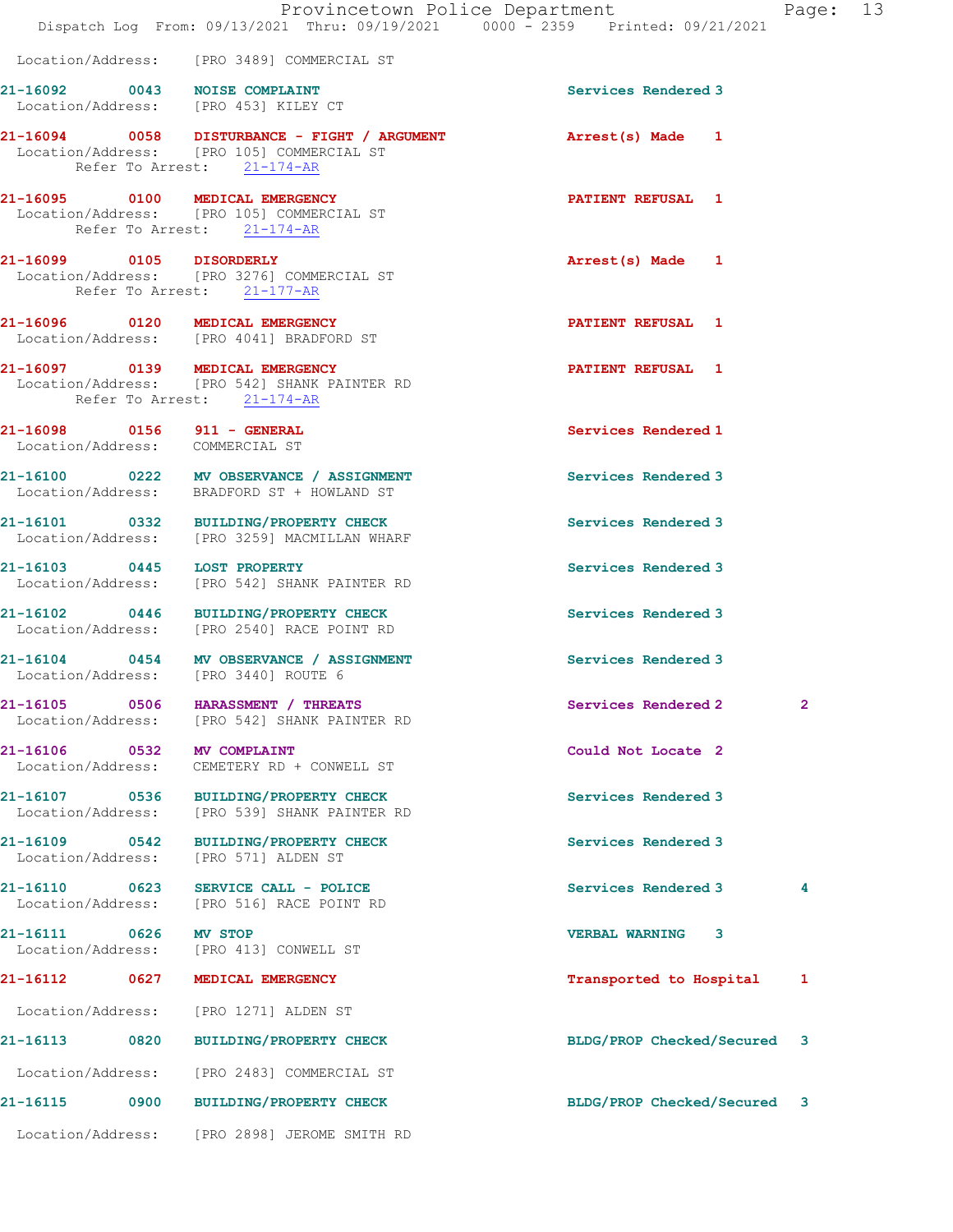|                                    |                                                                                                                                                 | Provincetown Police Department<br>Dispatch Log From: 09/13/2021 Thru: 09/19/2021 0000 - 2359 Printed: 09/21/2021 | Page: 13     |  |
|------------------------------------|-------------------------------------------------------------------------------------------------------------------------------------------------|------------------------------------------------------------------------------------------------------------------|--------------|--|
|                                    | Location/Address: [PRO 3489] COMMERCIAL ST                                                                                                      |                                                                                                                  |              |  |
|                                    | 21-16092 0043 NOISE COMPLAINT<br>Location/Address: [PRO 453] KILEY CT                                                                           | Services Rendered 3                                                                                              |              |  |
|                                    | 21-16094 0058 DISTURBANCE - FIGHT / ARGUMENT <b>Arrest(s)</b> Made 1<br>Location/Address: [PRO 105] COMMERCIAL ST<br>Refer To Arrest: 21-174-AR |                                                                                                                  |              |  |
|                                    | 21-16095 0100 MEDICAL EMERGENCY<br>Location/Address: [PRO 105] COMMERCIAL ST<br>Refer To Arrest: 21-174-AR                                      | <b>PATIENT REFUSAL 1</b>                                                                                         |              |  |
|                                    | 21-16099 0105 DISORDERLY<br>Location/Address: [PRO 3276] COMMERCIAL ST<br>Refer To Arrest: 21-177-AR                                            | Arrest(s) Made 1                                                                                                 |              |  |
|                                    | 21-16096 0120 MEDICAL EMERGENCY<br>Location/Address: [PRO 4041] BRADFORD ST                                                                     | <b>PATIENT REFUSAL 1</b>                                                                                         |              |  |
|                                    | 21-16097 0139 MEDICAL EMERGENCY<br>Location/Address: [PRO 542] SHANK PAINTER RD<br>Refer To Arrest: 21-174-AR                                   | <b>PATIENT REFUSAL 1</b>                                                                                         |              |  |
|                                    | 21-16098 0156 911 - GENERAL<br>Location/Address: COMMERCIAL ST                                                                                  | Services Rendered 1                                                                                              |              |  |
|                                    | 21-16100 0222 MV OBSERVANCE / ASSIGNMENT<br>Location/Address: BRADFORD ST + HOWLAND ST                                                          | Services Rendered 3                                                                                              |              |  |
|                                    | 21-16101 0332 BUILDING/PROPERTY CHECK<br>Location/Address: [PRO 3259] MACMILLAN WHARF                                                           | Services Rendered 3                                                                                              |              |  |
|                                    | 21-16103 0445 LOST PROPERTY<br>Location/Address: [PRO 542] SHANK PAINTER RD                                                                     | Services Rendered 3                                                                                              |              |  |
|                                    | 21-16102 0446 BUILDING/PROPERTY CHECK<br>Location/Address: [PRO 2540] RACE POINT RD                                                             | Services Rendered 3                                                                                              |              |  |
|                                    | 21-16104 0454 MV OBSERVANCE / ASSIGNMENT<br>Location/Address: [PRO 3440] ROUTE 6                                                                | Services Rendered 3                                                                                              |              |  |
| 21-16105 0506<br>Location/Address: | HARASSMENT / THREATS<br>[PRO 542] SHANK PAINTER RD                                                                                              | Services Rendered 2                                                                                              | $\mathbf{2}$ |  |
| 21-16106 0532<br>Location/Address: | <b>MV COMPLAINT</b><br>CEMETERY RD + CONWELL ST                                                                                                 | Could Not Locate 2                                                                                               |              |  |
|                                    | 21-16107 0536 BUILDING/PROPERTY CHECK<br>Location/Address: [PRO 539] SHANK PAINTER RD                                                           | Services Rendered 3                                                                                              |              |  |
| Location/Address:                  | 21-16109 0542 BUILDING/PROPERTY CHECK<br>[PRO 571] ALDEN ST                                                                                     | Services Rendered 3                                                                                              |              |  |
|                                    | Location/Address: [PRO 516] RACE POINT RD                                                                                                       | Services Rendered 3                                                                                              | 4            |  |
| 21-16111 0626                      | <b>MV STOP</b><br>Location/Address: [PRO 413] CONWELL ST                                                                                        | <b>VERBAL WARNING 3</b>                                                                                          |              |  |
|                                    | 21-16112 0627 MEDICAL EMERGENCY                                                                                                                 | Transported to Hospital                                                                                          | 1            |  |
|                                    | Location/Address: [PRO 1271] ALDEN ST                                                                                                           |                                                                                                                  |              |  |
|                                    | 21-16113 0820 BUILDING/PROPERTY CHECK                                                                                                           | BLDG/PROP Checked/Secured 3                                                                                      |              |  |
|                                    | Location/Address: [PRO 2483] COMMERCIAL ST                                                                                                      |                                                                                                                  |              |  |
|                                    | 21-16115 0900 BUILDING/PROPERTY CHECK                                                                                                           | BLDG/PROP Checked/Secured 3                                                                                      |              |  |
|                                    | Location/Address: [PRO 2898] JEROME SMITH RD                                                                                                    |                                                                                                                  |              |  |
|                                    |                                                                                                                                                 |                                                                                                                  |              |  |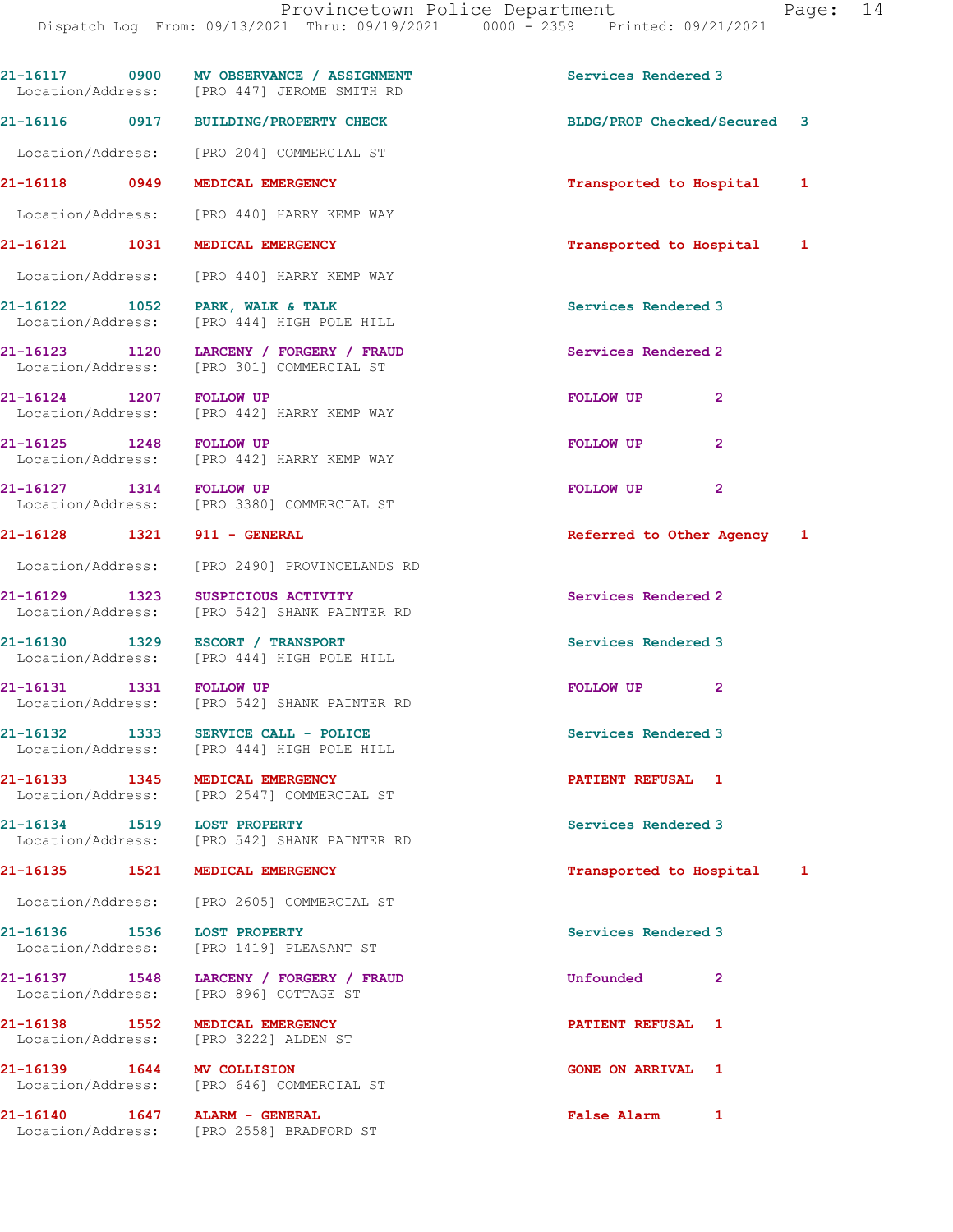Provincetown Police Department Fage: 14 Dispatch Log From: 09/13/2021 Thru: 09/19/2021 0000 - 2359 Printed: 09/21/2021 21-16117 0900 MV OBSERVANCE / ASSIGNMENT Services Rendered 3 Location/Address: [PRO 447] JEROME SMITH RD 21-16116 0917 BUILDING/PROPERTY CHECK BLDG/PROP Checked/Secured 3 Location/Address: [PRO 204] COMMERCIAL ST 21-16118 0949 MEDICAL EMERGENCY Transported to Hospital 1 Location/Address: [PRO 440] HARRY KEMP WAY 21-16121 1031 MEDICAL EMERGENCY Transported to Hospital 1 Location/Address: [PRO 440] HARRY KEMP WAY 21-16122 1052 PARK, WALK & TALK Services Rendered 3 Location/Address: [PRO 444] HIGH POLE HILL 21-16123 1120 LARCENY / FORGERY / FRAUD Services Rendered 2 Location/Address: [PRO 301] COMMERCIAL ST 21-16124 1207 FOLLOW UP FOLLOW UP 2 Location/Address: [PRO 442] HARRY KEMP WAY 21-16125 1248 FOLLOW UP 2 ROLLOW UP 2 Location/Address: [PRO 442] HARRY KEMP WAY 21-16127 1314 FOLLOW UP **FOLLOW UP** 2 Location/Address: [PRO 3380] COMMERCIAL ST 21-16128 1321 911 - GENERAL **120 Referred to Other Agency** 1 Location/Address: [PRO 2490] PROVINCELANDS RD 21-16129 1323 SUSPICIOUS ACTIVITY Services Rendered 2 Location/Address: [PRO 542] SHANK PAINTER RD 21-16130 1329 ESCORT / TRANSPORT Services Rendered 3 Location/Address: [PRO 444] HIGH POLE HILL 21-16131 1331 FOLLOW UP **FOLLOW UP** 2 Location/Address: [PRO 542] SHANK PAINTER RD 21-16132 1333 SERVICE CALL - POLICE 21 Services Rendered 3 Location/Address: [PRO 444] HIGH POLE HILL 21-16133 1345 MEDICAL EMERGENCY PATIENT REFUSAL 1 Location/Address: [PRO 2547] COMMERCIAL ST 21-16134 1519 LOST PROPERTY Services Rendered 3 Location/Address: [PRO 542] SHANK PAINTER RD 21-16135 1521 MEDICAL EMERGENCY 1988 120 1 Transported to Hospital 1 Location/Address: [PRO 2605] COMMERCIAL ST 21-16136 1536 LOST PROPERTY Services Rendered 3 Location/Address: [PRO 1419] PLEASANT ST 21-16137 1548 LARCENY / FORGERY / FRAUD Unfounded 2 Location/Address: [PRO 896] COTTAGE ST

21-16138 1552 MEDICAL EMERGENCY **120 CONTRACT SERVICE AT LANSIFIENT REFUSAL** 1 Location/Address: [PRO 3222] ALDEN ST

21-16139 1644 MV COLLISION 1649 CONE ON ARRIVAL 1<br>
Location/Address: [PRO 646] COMMERCIAL ST

21-16140 1647 ALARM - GENERAL False Alarm 1 Location/Address: [PRO 2558] BRADFORD ST

[PRO 646] COMMERCIAL ST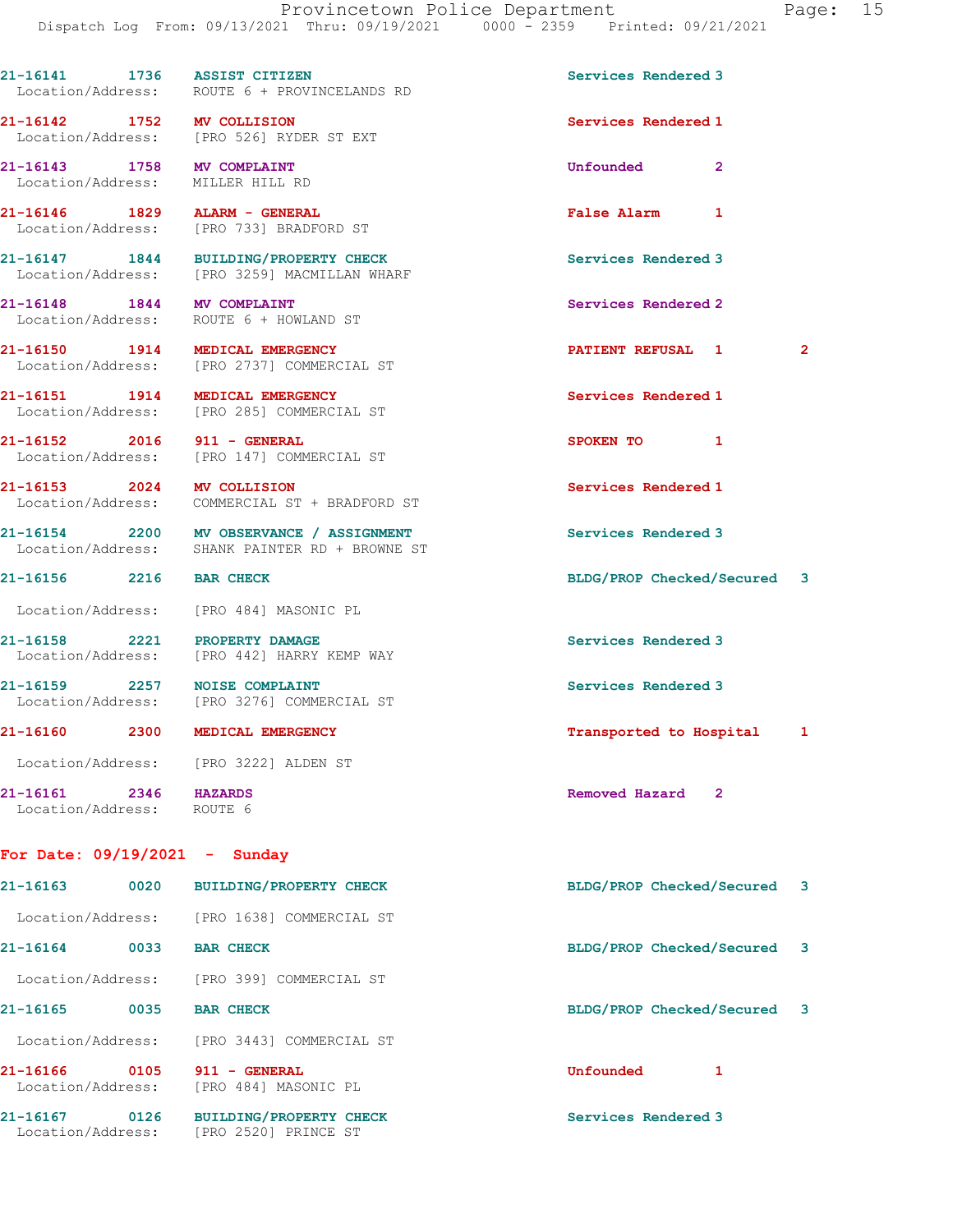21-16141 1736 ASSIST CITIZEN Services Rendered 3 Location/Address: ROUTE 6 + PROVINCELANDS RD 21-16142 1752 MV COLLISION Services Rendered 1 Location/Address: [PRO 526] RYDER ST EXT 21-16143 1758 MV COMPLAINT Unfounded 2 Location/Address: MILLER HILL RD 21-16146 1829 ALARM - GENERAL **False Alarm** 1<br>
Location/Address: [PRO 733] BRADFORD ST [PRO 733] BRADFORD ST 21-16147 1844 BUILDING/PROPERTY CHECK Services Rendered 3 Location/Address: [PRO 3259] MACMILLAN WHARF 21-16148 1844 MV COMPLAINT Services Rendered 2 Location/Address: ROUTE 6 + HOWLAND ST 21-16150 1914 MEDICAL EMERGENCY **1908** PATIENT REFUSAL 1 2 Location/Address: [PRO 2737] COMMERCIAL ST 21-16151 1914 MEDICAL EMERGENCY Services Rendered 1 Location/Address: [PRO 285] COMMERCIAL ST 21-16152 2016 911 - GENERAL SPOKEN TO 1 Location/Address: [PRO 147] COMMERCIAL ST 21-16153 2024 MV COLLISION Services Rendered 1 Location/Address: COMMERCIAL ST + BRADFORD ST 21-16154 2200 MV OBSERVANCE / ASSIGNMENT Services Rendered 3 Location/Address: SHANK PAINTER RD + BROWNE ST 21-16156 2216 BAR CHECK BLDG/PROP Checked/Secured 3 Location/Address: [PRO 484] MASONIC PL 21-16158 2221 PROPERTY DAMAGE Services Rendered 3 Location/Address: [PRO 442] HARRY KEMP WAY 21-16159 2257 NOISE COMPLAINT Services Rendered 3 Location/Address: [PRO 3276] COMMERCIAL ST 21-16160 2300 MEDICAL EMERGENCY Transported to Hospital 1 Location/Address: [PRO 3222] ALDEN ST 21-16161 2346 HAZARDS Removed Hazard 2 Location/Address: ROUTE 6

## For Date: 09/19/2021 - Sunday

| $21 - 16163$                  | 0020 | <b>BUILDING/PROPERTY CHECK</b>                         | BLDG/PROP Checked/Secured 3 |  |
|-------------------------------|------|--------------------------------------------------------|-----------------------------|--|
| Location/Address:             |      | FPRO 16381 COMMERCIAL ST                               |                             |  |
| 21-16164                      | 0033 | <b>BAR CHECK</b>                                       | BLDG/PROP Checked/Secured 3 |  |
| Location/Address:             |      | FPRO 3991 COMMERCIAL ST                                |                             |  |
| 21-16165                      | 0035 | <b>BAR CHECK</b>                                       | BLDG/PROP Checked/Secured 3 |  |
| Location/Address:             |      | FPRO 34431 COMMERCIAL ST                               |                             |  |
| 21-16166<br>Location/Address: | 0105 | - GENERAL<br>911<br>[PRO 484] MASONIC PL               | Unfounded                   |  |
| 21-16167<br>Location/Address: | 0126 | <b>BUILDING/PROPERTY CHECK</b><br>[PRO 2520] PRINCE ST | Services Rendered 3         |  |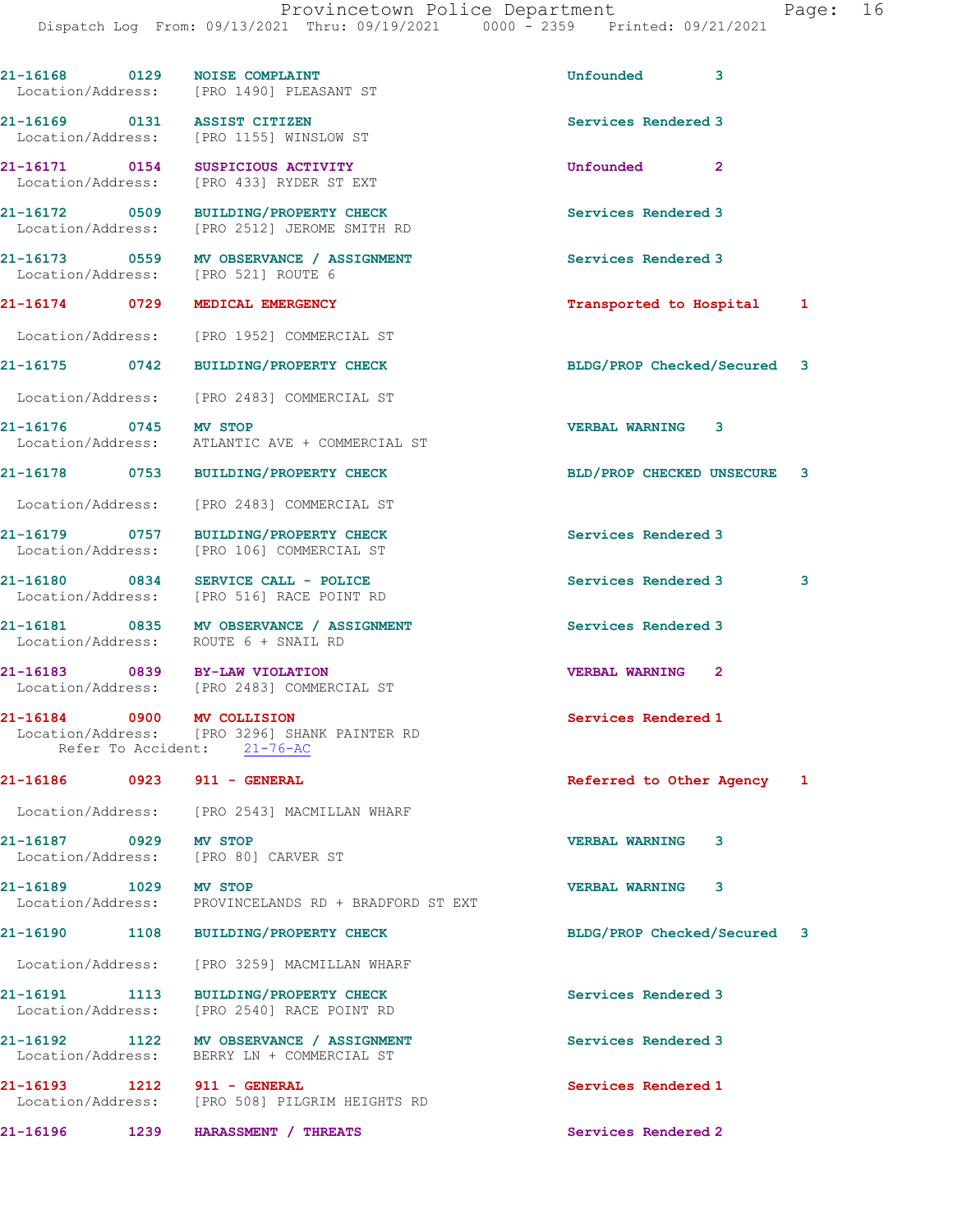| 21-16168 0129              | <b>NOISE COMPLAINT</b><br>Location/Address: [PRO 1490] PLEASANT ST                     | Unfounded                   | 3            |   |
|----------------------------|----------------------------------------------------------------------------------------|-----------------------------|--------------|---|
|                            | 21-16169 0131 ASSIST CITIZEN<br>Location/Address: [PRO 1155] WINSLOW ST                | Services Rendered 3         |              |   |
|                            | 21-16171 0154 SUSPICIOUS ACTIVITY<br>Location/Address: [PRO 433] RYDER ST EXT          | <b>Unfounded</b>            | $\mathbf{2}$ |   |
|                            | 21-16172 0509 BUILDING/PROPERTY CHECK<br>Location/Address: [PRO 2512] JEROME SMITH RD  | Services Rendered 3         |              |   |
|                            | 21-16173 0559 MV OBSERVANCE / ASSIGNMENT<br>Location/Address: [PRO 521] ROUTE 6        | Services Rendered 3         |              |   |
| 21-16174 0729              | MEDICAL EMERGENCY                                                                      | Transported to Hospital     |              | 1 |
|                            | Location/Address: [PRO 1952] COMMERCIAL ST                                             |                             |              |   |
| 21-16175 0742              | <b>BUILDING/PROPERTY CHECK</b>                                                         | BLDG/PROP Checked/Secured 3 |              |   |
| Location/Address:          | [PRO 2483] COMMERCIAL ST                                                               |                             |              |   |
| 21-16176 0745 MV STOP      | Location/Address: ATLANTIC AVE + COMMERCIAL ST                                         | <b>VERBAL WARNING</b>       | 3            |   |
|                            | 21-16178 0753 BUILDING/PROPERTY CHECK                                                  | BLD/PROP CHECKED UNSECURE   |              | 3 |
| Location/Address:          | [PRO 2483] COMMERCIAL ST                                                               |                             |              |   |
|                            | 21-16179 0757 BUILDING/PROPERTY CHECK<br>Location/Address: [PRO 106] COMMERCIAL ST     | Services Rendered 3         |              |   |
| 21-16180 0834              | SERVICE CALL - POLICE<br>Location/Address: [PRO 516] RACE POINT RD                     | Services Rendered 3         |              | 3 |
|                            | 21-16181 0835 MV OBSERVANCE / ASSIGNMENT<br>Location/Address: ROUTE 6 + SNAIL RD       | Services Rendered 3         |              |   |
|                            | 21-16183 0839 BY-LAW VIOLATION<br>Location/Address: [PRO 2483] COMMERCIAL ST           | <b>VERBAL WARNING</b>       | $\mathbf{2}$ |   |
| 21-16184 0900 MV COLLISION | Location/Address: [PRO 3296] SHANK PAINTER RD<br>Refer To Accident: 21-76-AC           | Services Rendered 1         |              |   |
|                            | 21-16186 0923 911 - GENERAL                                                            | Referred to Other Agency    |              | 1 |
|                            | Location/Address: [PRO 2543] MACMILLAN WHARF                                           |                             |              |   |
| 21-16187 0929 MV STOP      | Location/Address: [PRO 80] CARVER ST                                                   | <b>VERBAL WARNING</b>       | 3            |   |
| 21-16189 1029 MV STOP      | Location/Address: PROVINCELANDS RD + BRADFORD ST EXT                                   | <b>VERBAL WARNING</b>       | 3            |   |
|                            | 21-16190 1108 BUILDING/PROPERTY CHECK                                                  | BLDG/PROP Checked/Secured 3 |              |   |
|                            | Location/Address: [PRO 3259] MACMILLAN WHARF                                           |                             |              |   |
| Location/Address:          | 21-16191 1113 BUILDING/PROPERTY CHECK<br>[PRO 2540] RACE POINT RD                      | Services Rendered 3         |              |   |
|                            | 21-16192 1122 MV OBSERVANCE / ASSIGNMENT<br>Location/Address: BERRY LN + COMMERCIAL ST | Services Rendered 3         |              |   |
|                            | 21-16193 1212 911 - GENERAL<br>Location/Address: [PRO 508] PILGRIM HEIGHTS RD          | Services Rendered 1         |              |   |
|                            | 21-16196           1239                HARASSMENT / THREATS                            | Services Rendered 2         |              |   |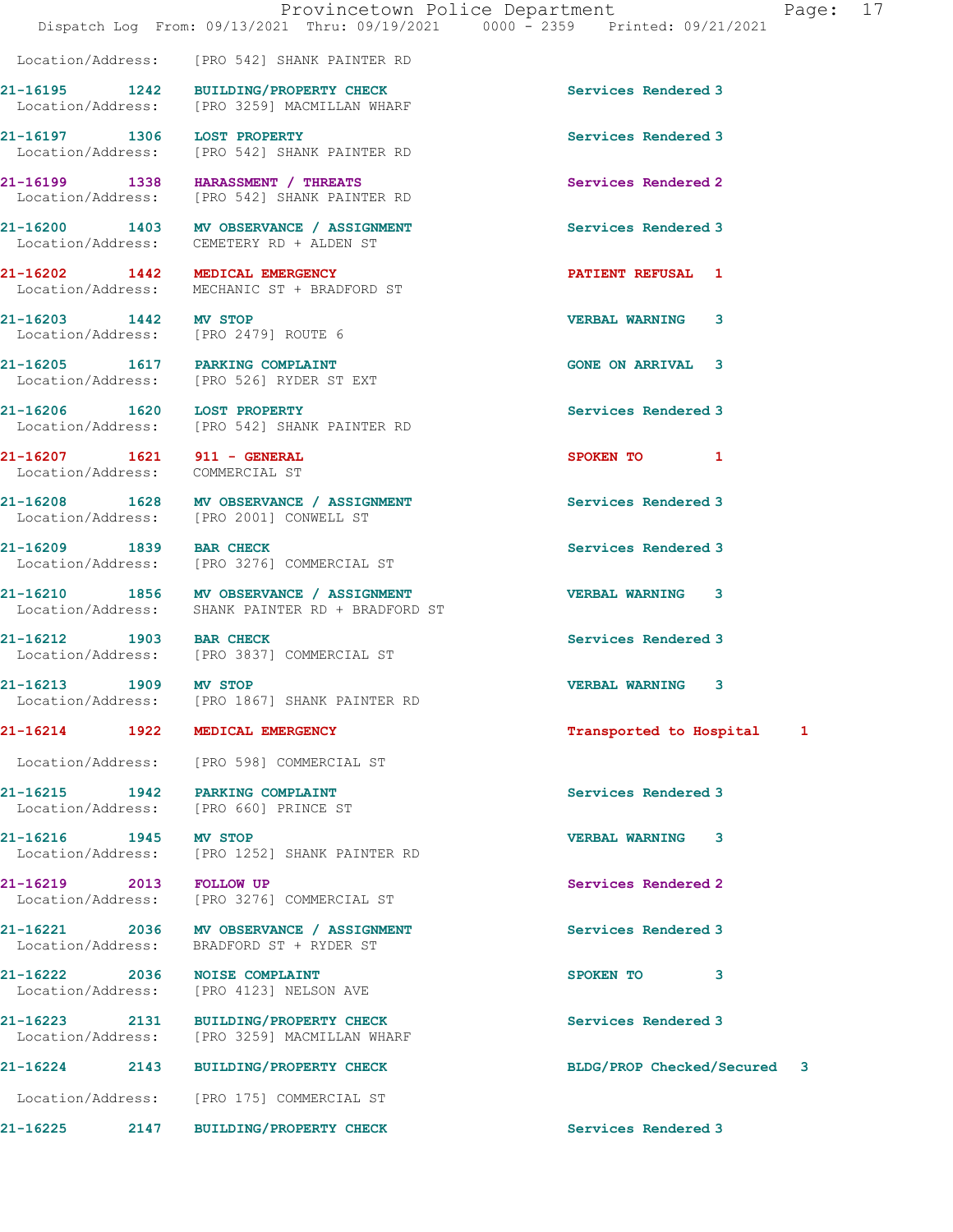Location/Address: [PRO 542] SHANK PAINTER RD

| aae |  |
|-----|--|
|-----|--|

21-16195 1242 BUILDING/PROPERTY CHECK Services Rendered 3 Location/Address: [PRO 3259] MACMILLAN WHARF 21-16197 1306 LOST PROPERTY Services Rendered 3 Location/Address: [PRO 542] SHANK PAINTER RD 21-16199 1338 HARASSMENT / THREATS Services Rendered 2 Location/Address: [PRO 542] SHANK PAINTER RD 21-16200 1403 MV OBSERVANCE / ASSIGNMENT Services Rendered 3 Location/Address: CEMETERY RD + ALDEN ST 21-16202 1442 MEDICAL EMERGENCY PATIENT REFUSAL 1 Location/Address: MECHANIC ST + BRADFORD ST 21-16203 1442 MV STOP VERBAL WARNING 3 Location/Address: [PRO 2479] ROUTE 6 21-16205 1617 PARKING COMPLAINT GONE ON ARRIVAL 3 Location/Address: [PRO 526] RYDER ST EXT 21-16206 1620 LOST PROPERTY Services Rendered 3 Location/Address: [PRO 542] SHANK PAINTER RD 21-16207 1621 911 - GENERAL SPOKEN TO 1 Location/Address: COMMERCIAL ST 21-16208 1628 MV OBSERVANCE / ASSIGNMENT Services Rendered 3 Location/Address: [PRO 2001] CONWELL ST 21-16209 1839 BAR CHECK Services Rendered 3 Location/Address: [PRO 3276] COMMERCIAL ST 21-16210 1856 MV OBSERVANCE / ASSIGNMENT VERBAL WARNING 3 Location/Address: SHANK PAINTER RD + BRADFORD ST 21-16212 1903 BAR CHECK Services Rendered 3 Location/Address: [PRO 3837] COMMERCIAL ST 21-16213 1909 MV STOP VERBAL WARNING 3 Location/Address: [PRO 1867] SHANK PAINTER RD 21-16214 1922 MEDICAL EMERGENCY **1928** 1982 121-16214 1 Location/Address: [PRO 598] COMMERCIAL ST 21-16215 1942 PARKING COMPLAINT Services Rendered 3 Location/Address: [PRO 660] PRINCE ST 21-16216 1945 MV STOP 1945 VERBAL WARNING 3<br>
Location/Address: [PRO 1252] SHANK PAINTER RD [PRO 1252] SHANK PAINTER RD 21-16219 2013 FOLLOW UP Services Rendered 2 Location/Address: [PRO 3276] COMMERCIAL ST 21-16221 2036 MV OBSERVANCE / ASSIGNMENT Services Rendered 3 Location/Address: BRADFORD ST + RYDER ST 21-16222 2036 NOISE COMPLAINT<br>
Location/Address: [PRO 4123] NELSON AVE [PRO 4123] NELSON AVE 21-16223 2131 BUILDING/PROPERTY CHECK Services Rendered 3 Location/Address: [PRO 3259] MACMILLAN WHARF 21-16224 2143 BUILDING/PROPERTY CHECK BLDG/PROP Checked/Secured 3 Location/Address: [PRO 175] COMMERCIAL ST 21-16225 2147 BUILDING/PROPERTY CHECK Services Rendered 3